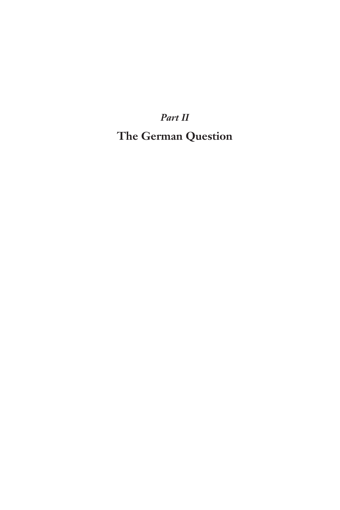*Part II*

**The German Question**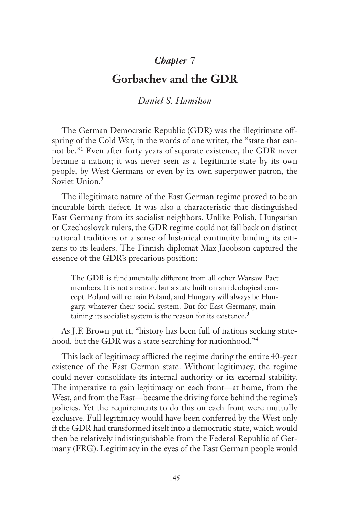# *Chapter 7*

# **Gorbachev and the GDR**

# *Daniel S. Hamilton*

The German Democratic Republic (GDR) was the illegitimate offspring of the Cold War, in the words of one writer, the "state that cannot be."<sup>1</sup> Even after forty years of separate existence, the GDR never became a nation; it was never seen as a 1egitimate state by its own people, by West Germans or even by its own superpower patron, the Soviet Union.<sup>2</sup>

The illegitimate nature of the East German regime proved to be an incurable birth defect. It was also a characteristic that distinguished East Germany from its socialist neighbors. Unlike Polish, Hungarian or Czechoslovak rulers, the GDR regime could not fall back on distinct national traditions or a sense of historical continuity binding its citizens to its leaders. The Finnish diplomat Max Jacobson captured the essence of the GDR's precarious position:

The GDR is fundamentally different from all other Warsaw Pact members. It is not a nation, but a state built on an ideological concept. Poland will remain Poland, and Hungary will always be Hungary, whatever their social system. But for East Germany, maintaining its socialist system is the reason for its existence.<sup>3</sup>

As J.F. Brown put it, "history has been full of nations seeking statehood, but the GDR was a state searching for nationhood."<sup>4</sup>

This lack of legitimacy afflicted the regime during the entire 40-year existence of the East German state. Without legitimacy, the regime could never consolidate its internal authority or its external stability. The imperative to gain legitimacy on each front—at home, from the West, and from the East—became the driving force behind the regime's policies. Yet the requirements to do this on each front were mutually exclusive. Full legitimacy would have been conferred by the West only if the GDR had transformed itself into a democratic state, which would then be relatively indistinguishable from the Federal Republic of Germany (FRG). Legitimacy in the eyes of the East German people would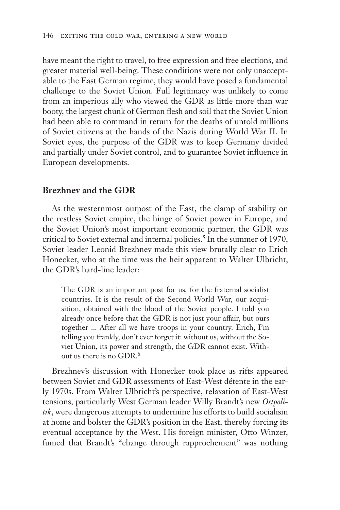have meant the right to travel, to free expression and free elections, and greater material well-being. These conditions were not only unacceptable to the East German regime, they would have posed a fundamental challenge to the Soviet Union. Full legitimacy was unlikely to come from an imperious ally who viewed the GDR as little more than war booty, the largest chunk of German flesh and soil that the Soviet Union had been able to command in return for the deaths of untold millions of Soviet citizens at the hands of the Nazis during World War II. In Soviet eyes, the purpose of the GDR was to keep Germany divided and partially under Soviet control, and to guarantee Soviet influence in European developments.

# **Brezhnev and the GDR**

As the westernmost outpost of the East, the clamp of stability on the restless Soviet empire, the hinge of Soviet power in Europe, and the Soviet Union's most important economic partner, the GDR was critical to Soviet external and internal policies.<sup>5</sup> In the summer of 1970, Soviet leader Leonid Brezhnev made this view brutally clear to Erich Honecker, who at the time was the heir apparent to Walter Ulbricht, the GDR's hard-line leader:

The GDR is an important post for us, for the fraternal socialist countries. It is the result of the Second World War, our acquisition, obtained with the blood of the Soviet people. I told you already once before that the GDR is not just your affair, but ours together ... After all we have troops in your country. Erich, I'm telling you frankly, don't ever forget it: without us, without the Soviet Union, its power and strength, the GDR cannot exist. Without us there is no GDR.6

Brezhnev's discussion with Honecker took place as rifts appeared between Soviet and GDR assessments of East-West détente in the early 1970s. From Walter Ulbricht's perspective, relaxation of East-West tensions, particularly West German leader Willy Brandt's new *Ostpolitik*, were dangerous attempts to undermine his efforts to build socialism at home and bolster the GDR's position in the East, thereby forcing its eventual acceptance by the West. His foreign minister, Otto Winzer, fumed that Brandt's "change through rapprochement" was nothing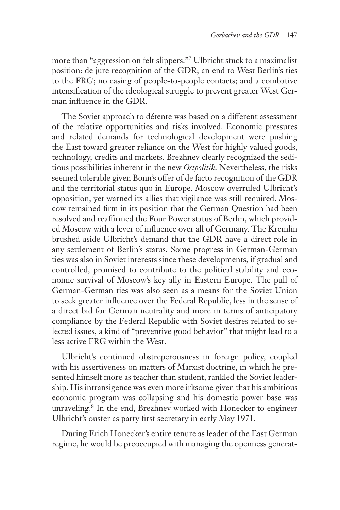more than "aggression on felt slippers."7 Ulbricht stuck to a maximalist position: de jure recognition of the GDR; an end to West Berlin's ties to the FRG; no easing of people-to-people contacts; and a combative intensification of the ideological struggle to prevent greater West German influence in the GDR.

The Soviet approach to détente was based on a different assessment of the relative opportunities and risks involved. Economic pressures and related demands for technological development were pushing the East toward greater reliance on the West for highly valued goods, technology, credits and markets. Brezhnev clearly recognized the seditious possibilities inherent in the new *Ostpolitik*. Nevertheless, the risks seemed tolerable given Bonn's offer of de facto recognition of the GDR and the territorial status quo in Europe. Moscow overruled Ulbricht's opposition, yet warned its allies that vigilance was still required. Moscow remained firm in its position that the German Question had been resolved and reaffirmed the Four Power status of Berlin, which provided Moscow with a lever of influence over all of Germany. The Kremlin brushed aside Ulbricht's demand that the GDR have a direct role in any settlement of Berlin's status. Some progress in German-German ties was also in Soviet interests since these developments, if gradual and controlled, promised to contribute to the political stability and economic survival of Moscow's key ally in Eastern Europe. The pull of German-German ties was also seen as a means for the Soviet Union to seek greater influence over the Federal Republic, less in the sense of a direct bid for German neutrality and more in terms of anticipatory compliance by the Federal Republic with Soviet desires related to selected issues, a kind of "preventive good behavior" that might lead to a less active FRG within the West.

Ulbricht's continued obstreperousness in foreign policy, coupled with his assertiveness on matters of Marxist doctrine, in which he presented himself more as teacher than student, rankled the Soviet leadership. His intransigence was even more irksome given that his ambitious economic program was collapsing and his domestic power base was unraveling.<sup>8</sup> In the end, Brezhnev worked with Honecker to engineer Ulbricht's ouster as party first secretary in early May 1971.

During Erich Honecker's entire tenure as leader of the East German regime, he would be preoccupied with managing the openness generat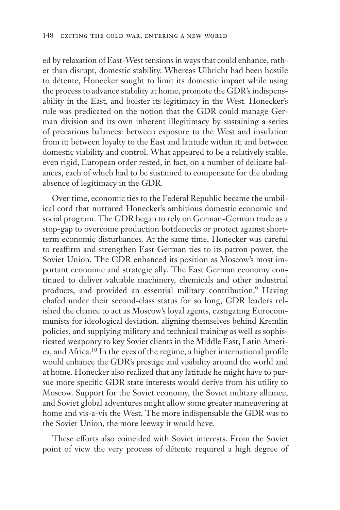ed by relaxation of East-West tensions in ways that could enhance, rather than disrupt, domestic stability. Whereas Ulbricht had been hostile to détente, Honecker sought to limit its domestic impact while using the process to advance stability at home, promote the GDR's indispensability in the East, and bolster its legitimacy in the West. Honecker's rule was predicated on the notion that the GDR could manage German division and its own inherent illegitimacy by sustaining a series of precarious balances: between exposure to the West and insulation from it; between loyalty to the East and latitude within it; and between domestic viability and control. What appeared to be a relatively stable, even rigid, European order rested, in fact, on a number of delicate balances, each of which had to be sustained to compensate for the abiding absence of legitimacy in the GDR.

Over time, economic ties to the Federal Republic became the umbilical cord that nurtured Honecker's ambitious domestic economic and social program. The GDR began to rely on German-German trade as a stop-gap to overcome production bottlenecks or protect against shortterm economic disturbances. At the same time, Honecker was careful to reaffirm and strengthen East German ties to its patron power, the Soviet Union. The GDR enhanced its position as Moscow's most important economic and strategic ally. The East German economy continued to deliver valuable machinery, chemicals and other industrial products, and provided an essential military contribution.9 Having chafed under their second-class status for so long, GDR leaders relished the chance to act as Moscow's loyal agents, castigating Eurocommunists for ideological deviation, aligning themselves behind Kremlin policies, and supplying military and technical training as well as sophisticated weaponry to key Soviet clients in the Middle East, Latin America, and Africa.10 In the eyes of the regime, a higher international profile would enhance the GDR's prestige and visibility around the world and at home. Honecker also realized that any latitude he might have to pursue more specific GDR state interests would derive from his utility to Moscow. Support for the Soviet economy, the Soviet military alliance, and Soviet global adventures might allow some greater maneuvering at home and vis-a-vis the West. The more indispensable the GDR was to the Soviet Union, the more leeway it would have.

These efforts also coincided with Soviet interests. From the Soviet point of view the very process of détente required a high degree of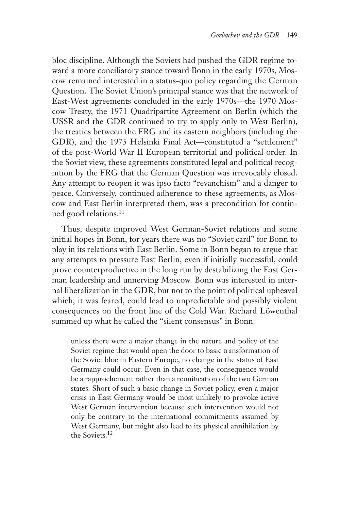bloc discipline. Although the Soviets had pushed the GDR regime toward a more conciliatory stance toward Bonn in the early 1970s, Moscow remained interested in a status-quo policy regarding the German Question. The Soviet Union's principal stance was that the network of East-West agreements concluded in the early 1970s—the 1970 Moscow Treaty, the 1971 Quadripartite Agreement on Berlin (which the USSR and the GDR continued to try to apply only to West Berlin), the treaties between the FRG and its eastern neighbors (including the GDR), and the 1975 Helsinki Final Act—constituted a "settlement" of the post-World War II European territorial and political order. In the Soviet view, these agreements constituted legal and political recognition by the FRG that the German Question was irrevocably closed. Any attempt to reopen it was ipso facto "revanchism" and a danger to peace. Conversely, continued adherence to these agreements, as Moscow and East Berlin interpreted them, was a precondition for continued good relations.11

Thus, despite improved West German-Soviet relations and some initial hopes in Bonn, for years there was no "Soviet card" for Bonn to play in its relations with East Berlin. Some in Bonn began to argue that any attempts to pressure East Berlin, even if initially successful, could prove counterproductive in the long run by destabilizing the East German leadership and unnerving Moscow. Bonn was interested in internal liberalization in the GDR, but not to the point of political upheaval which, it was feared, could lead to unpredictable and possibly violent consequences on the front line of the Cold War. Richard Löwenthal summed up what he called the "silent consensus" in Bonn:

unless there were a major change in the nature and policy of the Soviet regime that would open the door to basic transformation of the Soviet bloc in Eastern Europe, no change in the status of East Germany could occur. Even in that case, the consequence would be a rapprochement rather than a reunification of the two German states. Short of such a basic change in Soviet policy, even a major crisis in East Germany would be most unlikely to provoke active West German intervention because such intervention would not only be contrary to the international commitments assumed by West Germany, but might also lead to its physical annihilation by the Soviets.12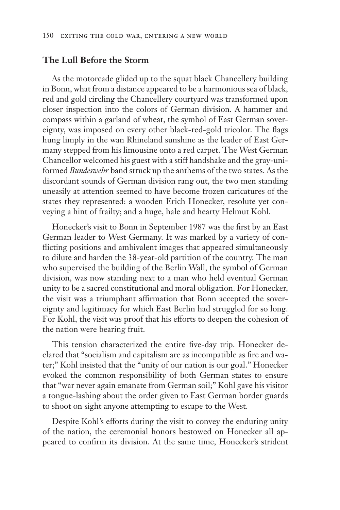#### **The Lull Before the Storm**

As the motorcade glided up to the squat black Chancellery building in Bonn, what from a distance appeared to be a harmonious sea of black, red and gold circling the Chancellery courtyard was transformed upon closer inspection into the colors of German division. A hammer and compass within a garland of wheat, the symbol of East German sovereignty, was imposed on every other black-red-gold tricolor. The flags hung limply in the wan Rhineland sunshine as the leader of East Germany stepped from his limousine onto a red carpet. The West German Chancellor welcomed his guest with a stiff handshake and the gray-uniformed *Bundeswehr* band struck up the anthems of the two states. As the discordant sounds of German division rang out, the two men standing uneasily at attention seemed to have become frozen caricatures of the states they represented: a wooden Erich Honecker, resolute yet conveying a hint of frailty; and a huge, hale and hearty Helmut Kohl.

Honecker's visit to Bonn in September 1987 was the first by an East German leader to West Germany. It was marked by a variety of conflicting positions and ambivalent images that appeared simultaneously to dilute and harden the 38-year-old partition of the country. The man who supervised the building of the Berlin Wall, the symbol of German division, was now standing next to a man who held eventual German unity to be a sacred constitutional and moral obligation. For Honecker, the visit was a triumphant affirmation that Bonn accepted the sovereignty and legitimacy for which East Berlin had struggled for so long. For Kohl, the visit was proof that his efforts to deepen the cohesion of the nation were bearing fruit.

This tension characterized the entire five-day trip. Honecker declared that "socialism and capitalism are as incompatible as fire and water;" Kohl insisted that the "unity of our nation is our goal." Honecker evoked the common responsibility of both German states to ensure that "war never again emanate from German soil;" Kohl gave his visitor a tongue-lashing about the order given to East German border guards to shoot on sight anyone attempting to escape to the West.

Despite Kohl's efforts during the visit to convey the enduring unity of the nation, the ceremonial honors bestowed on Honecker all appeared to confirm its division. At the same time, Honecker's strident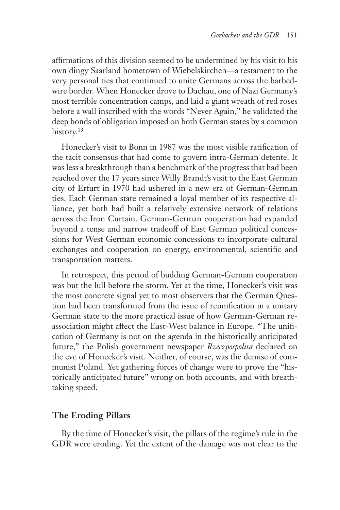affirmations of this division seemed to be undermined by his visit to his own dingy Saarland hometown of Wiebelskirchen—a testament to the very personal ties that continued to unite Germans across the barbedwire border. When Honecker drove to Dachau, one of Nazi Germany's most terrible concentration camps, and laid a giant wreath of red roses before a wall inscribed with the words "Never Again," he validated the deep bonds of obligation imposed on both German states by a common history.<sup>13</sup>

Honecker's visit to Bonn in 1987 was the most visible ratification of the tacit consensus that had come to govern intra-German detente. It was less a breakthrough than a benchmark of the progress that had been reached over the 17 years since Willy Brandt's visit to the East German city of Erfurt in 1970 had ushered in a new era of German-German ties. Each German state remained a loyal member of its respective alliance, yet both had built a relatively extensive network of relations across the Iron Curtain. German-German cooperation had expanded beyond a tense and narrow tradeoff of East German political concessions for West German economic concessions to incorporate cultural exchanges and cooperation on energy, environmental, scientific and transportation matters.

In retrospect, this period of budding German-German cooperation was but the lull before the storm. Yet at the time, Honecker's visit was the most concrete signal yet to most observers that the German Question had been transformed from the issue of reunification in a unitary German state to the more practical issue of how German-German reassociation might affect the East-West balance in Europe. "The unification of Germany is not on the agenda in the historically anticipated future," the Polish government newspaper *Rzeczpospolita* declared on the eve of Honecker's visit. Neither, of course, was the demise of communist Poland. Yet gathering forces of change were to prove the "historically anticipated future" wrong on both accounts, and with breathtaking speed.

# **The Eroding Pillars**

By the time of Honecker's visit, the pillars of the regime's rule in the GDR were eroding. Yet the extent of the damage was not clear to the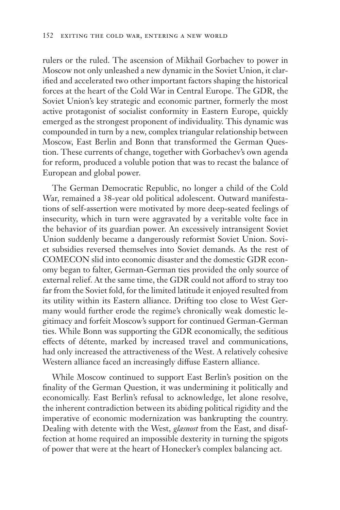rulers or the ruled. The ascension of Mikhail Gorbachev to power in Moscow not only unleashed a new dynamic in the Soviet Union, it clarified and accelerated two other important factors shaping the historical forces at the heart of the Cold War in Central Europe. The GDR, the Soviet Union's key strategic and economic partner, formerly the most active protagonist of socialist conformity in Eastern Europe, quickly emerged as the strongest proponent of individuality. This dynamic was compounded in turn by a new, complex triangular relationship between Moscow, East Berlin and Bonn that transformed the German Question. These currents of change, together with Gorbachev's own agenda for reform, produced a voluble potion that was to recast the balance of European and global power.

The German Democratic Republic, no longer a child of the Cold War, remained a 38-year old political adolescent. Outward manifestations of self-assertion were motivated by more deep-seated feelings of insecurity, which in turn were aggravated by a veritable volte face in the behavior of its guardian power. An excessively intransigent Soviet Union suddenly became a dangerously reformist Soviet Union. Soviet subsidies reversed themselves into Soviet demands. As the rest of COMECON slid into economic disaster and the domestic GDR economy began to falter, German-German ties provided the only source of external relief. At the same time, the GDR could not afford to stray too far from the Soviet fold, for the limited latitude it enjoyed resulted from its utility within its Eastern alliance. Drifting too close to West Germany would further erode the regime's chronically weak domestic legitimacy and forfeit Moscow's support for continued German-German ties. While Bonn was supporting the GDR economically, the seditious effects of détente, marked by increased travel and communications, had only increased the attractiveness of the West. A relatively cohesive Western alliance faced an increasingly diffuse Eastern alliance.

While Moscow continued to support East Berlin's position on the finality of the German Question, it was undermining it politically and economically. East Berlin's refusal to acknowledge, let alone resolve, the inherent contradiction between its abiding political rigidity and the imperative of economic modernization was bankrupting the country. Dealing with detente with the West, *glasnost* from the East, and disaffection at home required an impossible dexterity in turning the spigots of power that were at the heart of Honecker's complex balancing act.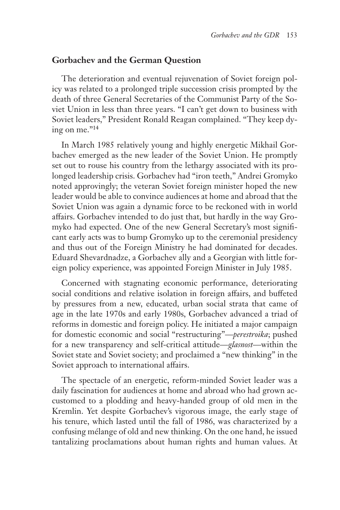# **Gorbachev and the German Question**

The deterioration and eventual rejuvenation of Soviet foreign policy was related to a prolonged triple succession crisis prompted by the death of three General Secretaries of the Communist Party of the Soviet Union in less than three years. "I can't get down to business with Soviet leaders," President Ronald Reagan complained. "They keep dying on me."14

In March 1985 relatively young and highly energetic Mikhail Gorbachev emerged as the new leader of the Soviet Union. He promptly set out to rouse his country from the lethargy associated with its prolonged leadership crisis. Gorbachev had "iron teeth," Andrei Gromyko noted approvingly; the veteran Soviet foreign minister hoped the new leader would be able to convince audiences at home and abroad that the Soviet Union was again a dynamic force to be reckoned with in world affairs. Gorbachev intended to do just that, but hardly in the way Gromyko had expected. One of the new General Secretary's most significant early acts was to bump Gromyko up to the ceremonial presidency and thus out of the Foreign Ministry he had dominated for decades. Eduard Shevardnadze, a Gorbachev ally and a Georgian with little foreign policy experience, was appointed Foreign Minister in July 1985.

Concerned with stagnating economic performance, deteriorating social conditions and relative isolation in foreign affairs, and buffeted by pressures from a new, educated, urban social strata that came of age in the late 1970s and early 1980s, Gorbachev advanced a triad of reforms in domestic and foreign policy. He initiated a major campaign for domestic economic and social "restructuring"—*perestroika*; pushed for a new transparency and self-critical attitude—*glasnost*—within the Soviet state and Soviet society; and proclaimed a "new thinking" in the Soviet approach to international affairs.

The spectacle of an energetic, reform-minded Soviet leader was a daily fascination for audiences at home and abroad who had grown accustomed to a plodding and heavy-handed group of old men in the Kremlin. Yet despite Gorbachev's vigorous image, the early stage of his tenure, which lasted until the fall of 1986, was characterized by a confusing mélange of old and new thinking. On the one hand, he issued tantalizing proclamations about human rights and human values. At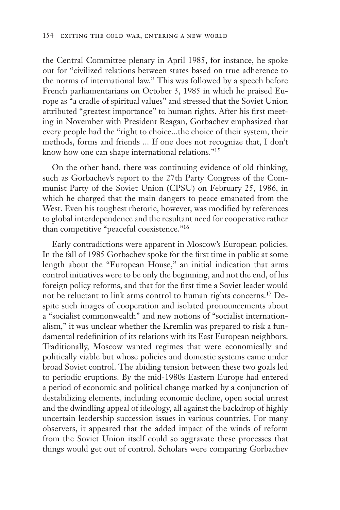the Central Committee plenary in April 1985, for instance, he spoke out for "civilized relations between states based on true adherence to the norms of international law." This was followed by a speech before French parliamentarians on October 3, 1985 in which he praised Europe as "a cradle of spiritual values" and stressed that the Soviet Union attributed "greatest importance" to human rights. After his first meeting in November with President Reagan, Gorbachev emphasized that every people had the "right to choice...the choice of their system, their methods, forms and friends ... If one does not recognize that, I don't know how one can shape international relations."15

On the other hand, there was continuing evidence of old thinking, such as Gorbachev's report to the 27th Party Congress of the Communist Party of the Soviet Union (CPSU) on February 25, 1986, in which he charged that the main dangers to peace emanated from the West. Even his toughest rhetoric, however, was modified by references to global interdependence and the resultant need for cooperative rather than competitive "peaceful coexistence."16

Early contradictions were apparent in Moscow's European policies. In the fall of 1985 Gorbachev spoke for the first time in public at some length about the "European House," an initial indication that arms control initiatives were to be only the beginning, and not the end, of his foreign policy reforms, and that for the first time a Soviet leader would not be reluctant to link arms control to human rights concerns.17 Despite such images of cooperation and isolated pronouncements about a "socialist commonwealth" and new notions of "socialist internationalism," it was unclear whether the Kremlin was prepared to risk a fundamental redefinition of its relations with its East European neighbors. Traditionally, Moscow wanted regimes that were economically and politically viable but whose policies and domestic systems came under broad Soviet control. The abiding tension between these two goals led to periodic eruptions. By the mid-1980s Eastern Europe had entered a period of economic and political change marked by a conjunction of destabilizing elements, including economic decline, open social unrest and the dwindling appeal of ideology, all against the backdrop of highly uncertain leadership succession issues in various countries. For many observers, it appeared that the added impact of the winds of reform from the Soviet Union itself could so aggravate these processes that things would get out of control. Scholars were comparing Gorbachev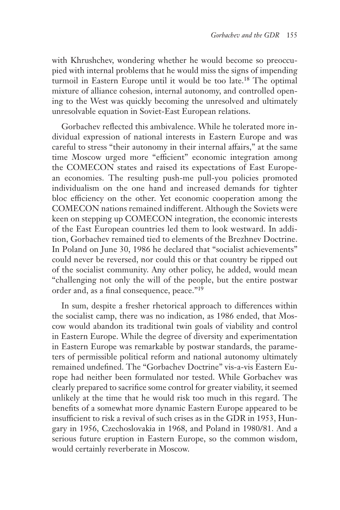with Khrushchev, wondering whether he would become so preoccupied with internal problems that he would miss the signs of impending turmoil in Eastern Europe until it would be too late.18 The optimal mixture of alliance cohesion, internal autonomy, and controlled opening to the West was quickly becoming the unresolved and ultimately unresolvable equation in Soviet-East European relations.

Gorbachev reflected this ambivalence. While he tolerated more individual expression of national interests in Eastern Europe and was careful to stress "their autonomy in their internal affairs," at the same time Moscow urged more "efficient" economic integration among the COMECON states and raised its expectations of East European economies. The resulting push-me pull-you policies promoted individualism on the one hand and increased demands for tighter bloc efficiency on the other. Yet economic cooperation among the COMECON nations remained indifferent. Although the Soviets were keen on stepping up COMECON integration, the economic interests of the East European countries led them to look westward. In addition, Gorbachev remained tied to elements of the Brezhnev Doctrine. In Poland on June 30, 1986 he declared that "socialist achievements" could never be reversed, nor could this or that country be ripped out of the socialist community. Any other policy, he added, would mean "challenging not only the will of the people, but the entire postwar order and, as a final consequence, peace."19

In sum, despite a fresher rhetorical approach to differences within the socialist camp, there was no indication, as 1986 ended, that Moscow would abandon its traditional twin goals of viability and control in Eastern Europe. While the degree of diversity and experimentation in Eastern Europe was remarkable by postwar standards, the parameters of permissible political reform and national autonomy ultimately remained undefined. The "Gorbachev Doctrine" vis-a-vis Eastern Europe had neither been formulated nor tested. While Gorbachev was clearly prepared to sacrifice some control for greater viability, it seemed unlikely at the time that he would risk too much in this regard. The benefits of a somewhat more dynamic Eastern Europe appeared to be insufficient to risk a revival of such crises as in the GDR in 1953, Hungary in 1956, Czechoslovakia in 1968, and Poland in 1980/81. And a serious future eruption in Eastern Europe, so the common wisdom, would certainly reverberate in Moscow.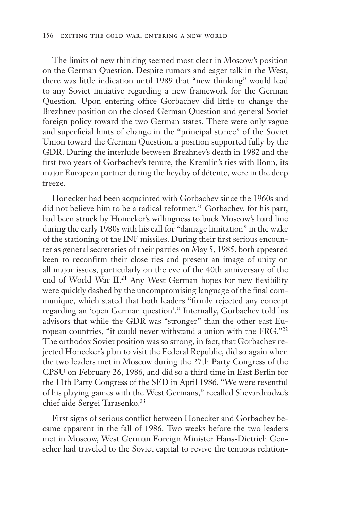The limits of new thinking seemed most clear in Moscow's position on the German Question. Despite rumors and eager talk in the West, there was little indication until 1989 that "new thinking" would lead to any Soviet initiative regarding a new framework for the German Question. Upon entering office Gorbachev did little to change the Brezhnev position on the closed German Question and general Soviet foreign policy toward the two German states. There were only vague and superficial hints of change in the "principal stance" of the Soviet Union toward the German Question, a position supported fully by the GDR. During the interlude between Brezhnev's death in 1982 and the first two years of Gorbachev's tenure, the Kremlin's ties with Bonn, its major European partner during the heyday of détente, were in the deep freeze.

Honecker had been acquainted with Gorbachev since the 1960s and did not believe him to be a radical reformer.<sup>20</sup> Gorbachev, for his part, had been struck by Honecker's willingness to buck Moscow's hard line during the early 1980s with his call for "damage limitation" in the wake of the stationing of the INF missiles. During their first serious encounter as general secretaries of their parties on May 5, 1985, both appeared keen to reconfirm their close ties and present an image of unity on all major issues, particularly on the eve of the 40th anniversary of the end of World War II.<sup>21</sup> Any West German hopes for new flexibility were quickly dashed by the uncompromising language of the final communique, which stated that both leaders "firmly rejected any concept regarding an 'open German question'." Internally, Gorbachev told his advisors that while the GDR was "stronger" than the other east European countries, "it could never withstand a union with the FRG."22 The orthodox Soviet position was so strong, in fact, that Gorbachev rejected Honecker's plan to visit the Federal Republic, did so again when the two leaders met in Moscow during the 27th Party Congress of the CPSU on February 26, 1986, and did so a third time in East Berlin for the 11th Party Congress of the SED in April 1986. "We were resentful of his playing games with the West Germans," recalled Shevardnadze's chief aide Sergei Tarasenko.<sup>23</sup>

First signs of serious conflict between Honecker and Gorbachev became apparent in the fall of 1986. Two weeks before the two leaders met in Moscow, West German Foreign Minister Hans-Dietrich Genscher had traveled to the Soviet capital to revive the tenuous relation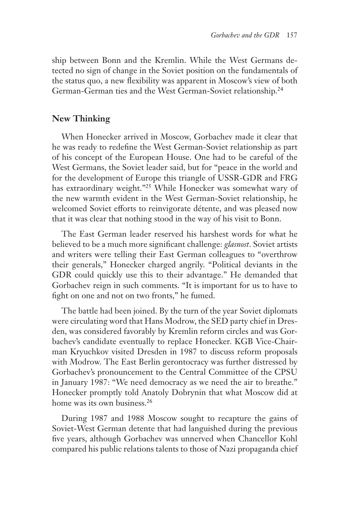ship between Bonn and the Kremlin. While the West Germans detected no sign of change in the Soviet position on the fundamentals of the status quo, a new flexibility was apparent in Moscow's view of both German-German ties and the West German-Soviet relationship.24

# **New Thinking**

When Honecker arrived in Moscow, Gorbachev made it clear that he was ready to redefine the West German-Soviet relationship as part of his concept of the European House. One had to be careful of the West Germans, the Soviet leader said, but for "peace in the world and for the development of Europe this triangle of USSR-GDR and FRG has extraordinary weight."25 While Honecker was somewhat wary of the new warmth evident in the West German-Soviet relationship, he welcomed Soviet efforts to reinvigorate détente, and was pleased now that it was clear that nothing stood in the way of his visit to Bonn.

The East German leader reserved his harshest words for what he believed to be a much more significant challenge: *glasnost*. Soviet artists and writers were telling their East German colleagues to "overthrow their generals," Honecker charged angrily. "Political deviants in the GDR could quickly use this to their advantage." He demanded that Gorbachev reign in such comments. "It is important for us to have to fight on one and not on two fronts," he fumed.

The battle had been joined. By the turn of the year Soviet diplomats were circulating word that Hans Modrow, the SED party chief in Dresden, was considered favorably by Kremlin reform circles and was Gorbachev's candidate eventually to replace Honecker. KGB Vice-Chairman Kryuchkov visited Dresden in 1987 to discuss reform proposals with Modrow. The East Berlin gerontocracy was further distressed by Gorbachev's pronouncement to the Central Committee of the CPSU in January 1987: "We need democracy as we need the air to breathe." Honecker promptly told Anatoly Dobrynin that what Moscow did at home was its own business.<sup>26</sup>

During 1987 and 1988 Moscow sought to recapture the gains of Soviet-West German detente that had languished during the previous five years, although Gorbachev was unnerved when Chancellor Kohl compared his public relations talents to those of Nazi propaganda chief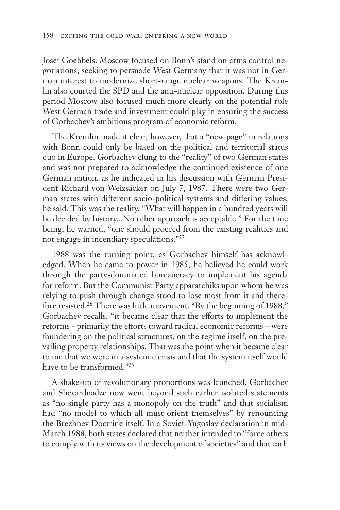Josef Goebbels. Moscow focused on Bonn's stand on arms control negotiations, seeking to persuade West Germany that it was not in German interest to modernize short-range nuclear weapons. The Kremlin also courted the SPD and the anti-nuclear opposition. During this period Moscow also focused much more clearly on the potential role West German trade and investment could play in ensuring the success of Gorbachev's ambitious program of economic reform.

The Kremlin made it clear, however, that a "new page" in relations with Bonn could only be based on the political and territorial status quo in Europe. Gorbachev clung to the "reality" of two German states and was not prepared to acknowledge the continued existence of one German nation, as he indicated in his discussion with German President Richard von Weizsäcker on July 7, 1987. There were two German states with different socio-political systems and differing values, he said. This was the reality. "What will happen in a hundred years will be decided by history...No other approach is acceptable." For the time being, he warned, "one should proceed from the existing realities and not engage in incendiary speculations."<sup>27</sup>

1988 was the turning point, as Gorbachev himself has acknowledged. When he came to power in 1985, he believed he could work through the party-dominated bureaucracy to implement his agenda for reform. But the Communist Party apparatchiks upon whom he was relying to push through change stood to lose most from it and therefore resisted.28 There was little movement. "By the beginning of 1988," Gorbachev recalls, "it became clear that the efforts to implement the reforms - primarily the efforts toward radical economic reforms—were foundering on the political structures, on the regime itself, on the prevailing property relationships. That was the point when it became clear to me that we were in a systemic crisis and that the system itself would have to be transformed."29

A shake-up of revolutionary proportions was launched. Gorbachev and Shevardnadze now went beyond such earlier isolated statements as "no single party has a monopoly on the truth" and that socialism had "no model to which all must orient themselves" by renouncing the Brezhnev Doctrine itself. In a Soviet-Yugoslav declaration in mid-March 1988, both states declared that neither intended to "force others to comply with its views on the development of societies" and that each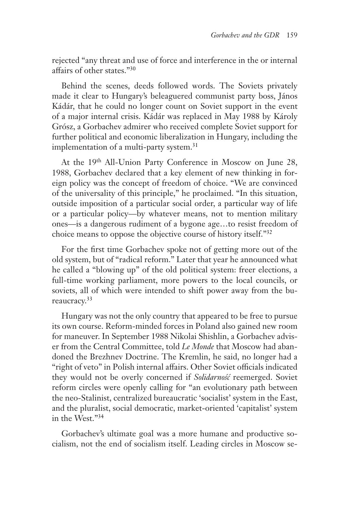rejected "any threat and use of force and interference in the or internal affairs of other states."30

Behind the scenes, deeds followed words. The Soviets privately made it clear to Hungary's beleaguered communist party boss, János Kádár, that he could no longer count on Soviet support in the event of a major internal crisis. Kádár was replaced in May 1988 by Károly Grósz, a Gorbachev admirer who received complete Soviet support for further political and economic liberalization in Hungary, including the implementation of a multi-party system.<sup>31</sup>

At the 19th All-Union Party Conference in Moscow on June 28, 1988, Gorbachev declared that a key element of new thinking in foreign policy was the concept of freedom of choice. "We are convinced of the universality of this principle," he proclaimed. "In this situation, outside imposition of a particular social order, a particular way of life or a particular policy—by whatever means, not to mention military ones—is a dangerous rudiment of a bygone age…to resist freedom of choice means to oppose the objective course of history itself."32

For the first time Gorbachev spoke not of getting more out of the old system, but of "radical reform." Later that year he announced what he called a "blowing up" of the old political system: freer elections, a full-time working parliament, more powers to the local councils, or soviets, all of which were intended to shift power away from the bureaucracy.<sup>33</sup>

Hungary was not the only country that appeared to be free to pursue its own course. Reform-minded forces in Poland also gained new room for maneuver. In September 1988 Nikolai Shishlin, a Gorbachev adviser from the Central Committee, told *Le Monde* that Moscow had abandoned the Brezhnev Doctrine. The Kremlin, he said, no longer had a "right of veto" in Polish internal affairs. Other Soviet officials indicated they would not be overly concerned if *Solidarność* reemerged. Soviet reform circles were openly calling for "an evolutionary path between the neo-Stalinist, centralized bureaucratic 'socialist' system in the East, and the pluralist, social democratic, market-oriented 'capitalist' system in the West."34

Gorbachev's ultimate goal was a more humane and productive socialism, not the end of socialism itself. Leading circles in Moscow se-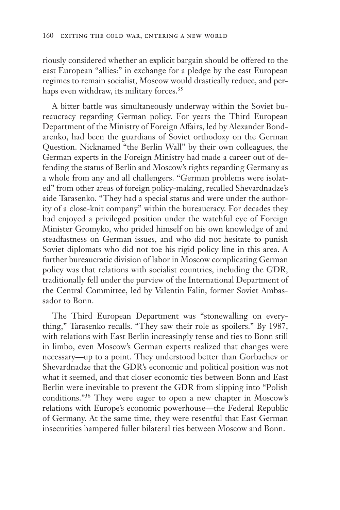riously considered whether an explicit bargain should be offered to the east European "allies:" in exchange for a pledge by the east European regimes to remain socialist, Moscow would drastically reduce, and perhaps even withdraw, its military forces.<sup>35</sup>

A bitter battle was simultaneously underway within the Soviet bureaucracy regarding German policy. For years the Third European Department of the Ministry of Foreign Affairs, led by Alexander Bondarenko, had been the guardians of Soviet orthodoxy on the German Question. Nicknamed "the Berlin Wall" by their own colleagues, the German experts in the Foreign Ministry had made a career out of defending the status of Berlin and Moscow's rights regarding Germany as a whole from any and all challengers. "German problems were isolated" from other areas of foreign policy-making, recalled Shevardnadze's aide Tarasenko. "They had a special status and were under the authority of a close-knit company" within the bureaucracy. For decades they had enjoyed a privileged position under the watchful eye of Foreign Minister Gromyko, who prided himself on his own knowledge of and steadfastness on German issues, and who did not hesitate to punish Soviet diplomats who did not toe his rigid policy line in this area. A further bureaucratic division of labor in Moscow complicating German policy was that relations with socialist countries, including the GDR, traditionally fell under the purview of the International Department of the Central Committee, led by Valentin Falin, former Soviet Ambassador to Bonn.

The Third European Department was "stonewalling on everything," Tarasenko recalls. "They saw their role as spoilers." By 1987, with relations with East Berlin increasingly tense and ties to Bonn still in limbo, even Moscow's German experts realized that changes were necessary—up to a point. They understood better than Gorbachev or Shevardnadze that the GDR's economic and political position was not what it seemed, and that closer economic ties between Bonn and East Berlin were inevitable to prevent the GDR from slipping into "Polish conditions."36 They were eager to open a new chapter in Moscow's relations with Europe's economic powerhouse—the Federal Republic of Germany. At the same time, they were resentful that East German insecurities hampered fuller bilateral ties between Moscow and Bonn.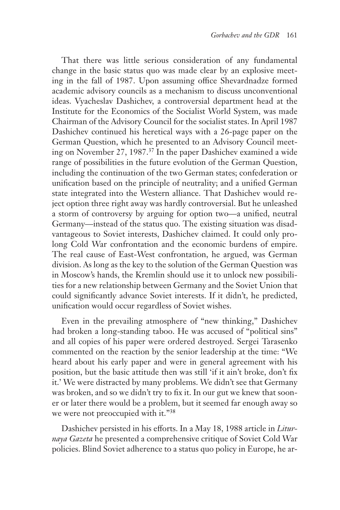That there was little serious consideration of any fundamental change in the basic status quo was made clear by an explosive meeting in the fall of 1987. Upon assuming office Shevardnadze formed academic advisory councils as a mechanism to discuss unconventional ideas. Vyacheslav Dashichev, a controversial department head at the Institute for the Economics of the Socialist World System, was made Chairman of the Advisory Council for the socialist states. In April 1987 Dashichev continued his heretical ways with a 26-page paper on the German Question, which he presented to an Advisory Council meeting on November 27, 1987.<sup>37</sup> In the paper Dashichev examined a wide range of possibilities in the future evolution of the German Question, including the continuation of the two German states; confederation or unification based on the principle of neutrality; and a unified German state integrated into the Western alliance. That Dashichev would reject option three right away was hardly controversial. But he unleashed a storm of controversy by arguing for option two—a unified, neutral Germany—instead of the status quo. The existing situation was disadvantageous to Soviet interests, Dashichev claimed. It could only prolong Cold War confrontation and the economic burdens of empire. The real cause of East-West confrontation, he argued, was German division. As long as the key to the solution of the German Question was in Moscow's hands, the Kremlin should use it to unlock new possibilities for a new relationship between Germany and the Soviet Union that could significantly advance Soviet interests. If it didn't, he predicted, unification would occur regardless of Soviet wishes.

Even in the prevailing atmosphere of "new thinking," Dashichev had broken a long-standing taboo. He was accused of "political sins" and all copies of his paper were ordered destroyed. Sergei Tarasenko commented on the reaction by the senior leadership at the time: "We heard about his early paper and were in general agreement with his position, but the basic attitude then was still 'if it ain't broke, don't fix it.' We were distracted by many problems. We didn't see that Germany was broken, and so we didn't try to fix it. In our gut we knew that sooner or later there would be a problem, but it seemed far enough away so we were not preoccupied with it."38

Dashichev persisted in his efforts. In a May 18, 1988 article in *Liturnaya Gazeta* he presented a comprehensive critique of Soviet Cold War policies. Blind Soviet adherence to a status quo policy in Europe, he ar-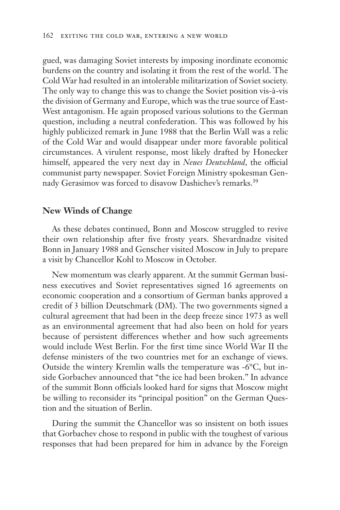gued, was damaging Soviet interests by imposing inordinate economic burdens on the country and isolating it from the rest of the world. The Cold War had resulted in an intolerable militarization of Soviet society. The only way to change this was to change the Soviet position vis-à-vis the division of Germany and Europe, which was the true source of East-West antagonism. He again proposed various solutions to the German question, including a neutral confederation. This was followed by his highly publicized remark in June 1988 that the Berlin Wall was a relic of the Cold War and would disappear under more favorable political circumstances. A virulent response, most likely drafted by Honecker himself, appeared the very next day in *Neues Deutschland*, the official communist party newspaper. Soviet Foreign Ministry spokesman Gennady Gerasimov was forced to disavow Dashichev's remarks.<sup>39</sup>

#### **New Winds of Change**

As these debates continued, Bonn and Moscow struggled to revive their own relationship after five frosty years. Shevardnadze visited Bonn in January 1988 and Genscher visited Moscow in July to prepare a visit by Chancellor Kohl to Moscow in October.

New momentum was clearly apparent. At the summit German business executives and Soviet representatives signed 16 agreements on economic cooperation and a consortium of German banks approved a credit of 3 billion Deutschmark (DM). The two governments signed a cultural agreement that had been in the deep freeze since 1973 as well as an environmental agreement that had also been on hold for years because of persistent differences whether and how such agreements would include West Berlin. For the first time since World War II the defense ministers of the two countries met for an exchange of views. Outside the wintery Kremlin walls the temperature was -6°C, but inside Gorbachev announced that "the ice had been broken." In advance of the summit Bonn officials looked hard for signs that Moscow might be willing to reconsider its "principal position" on the German Question and the situation of Berlin.

During the summit the Chancellor was so insistent on both issues that Gorbachev chose to respond in public with the toughest of various responses that had been prepared for him in advance by the Foreign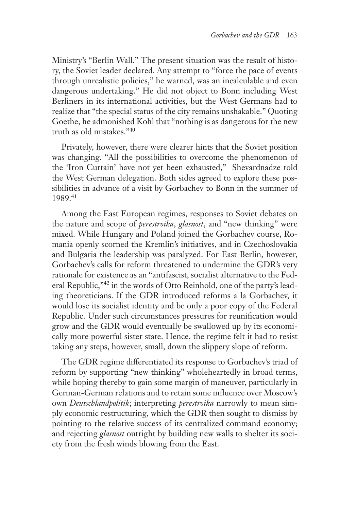Ministry's "Berlin Wall." The present situation was the result of history, the Soviet leader declared. Any attempt to "force the pace of events through unrealistic policies," he warned, was an incalculable and even dangerous undertaking." He did not object to Bonn including West Berliners in its international activities, but the West Germans had to realize that "the special status of the city remains unshakable." Quoting Goethe, he admonished Kohl that "nothing is as dangerous for the new truth as old mistakes."40

Privately, however, there were clearer hints that the Soviet position was changing. "All the possibilities to overcome the phenomenon of the 'Iron Curtain' have not yet been exhausted," Shevardnadze told the West German delegation. Both sides agreed to explore these possibilities in advance of a visit by Gorbachev to Bonn in the summer of 1989.41

Among the East European regimes, responses to Soviet debates on the nature and scope of *perestroika*, *glasnost*, and "new thinking" were mixed. While Hungary and Poland joined the Gorbachev course, Romania openly scorned the Kremlin's initiatives, and in Czechoslovakia and Bulgaria the leadership was paralyzed. For East Berlin, however, Gorbachev's calls for reform threatened to undermine the GDR's very rationale for existence as an "antifascist, socialist alternative to the Federal Republic,"<sup>42</sup> in the words of Otto Reinhold, one of the party's leading theoreticians. If the GDR introduced reforms a la Gorbachev, it would lose its socialist identity and be only a poor copy of the Federal Republic. Under such circumstances pressures for reunification would grow and the GDR would eventually be swallowed up by its economically more powerful sister state. Hence, the regime felt it had to resist taking any steps, however, small, down the slippery slope of reform.

The GDR regime differentiated its response to Gorbachev's triad of reform by supporting "new thinking" wholeheartedly in broad terms, while hoping thereby to gain some margin of maneuver, particularly in German-German relations and to retain some influence over Moscow's own *Deutschlandpolitik*; interpreting *perestroika* narrowly to mean simply economic restructuring, which the GDR then sought to dismiss by pointing to the relative success of its centralized command economy; and rejecting *glasnost* outright by building new walls to shelter its society from the fresh winds blowing from the East.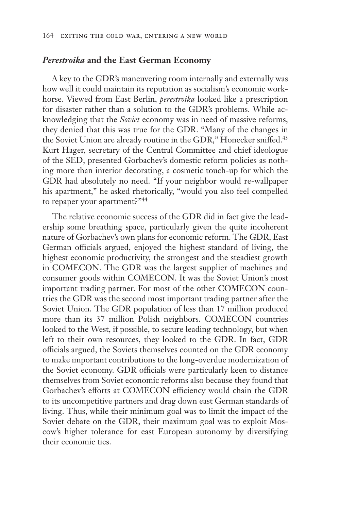#### *Perestroika* **and the East German Economy**

A key to the GDR's maneuvering room internally and externally was how well it could maintain its reputation as socialism's economic workhorse. Viewed from East Berlin, *perestroika* looked like a prescription for disaster rather than a solution to the GDR's problems. While acknowledging that the *Soviet* economy was in need of massive reforms, they denied that this was true for the GDR. "Many of the changes in the Soviet Union are already routine in the GDR," Honecker sniffed.<sup>43</sup> Kurt Hager, secretary of the Central Committee and chief ideologue of the SED, presented Gorbachev's domestic reform policies as nothing more than interior decorating, a cosmetic touch-up for which the GDR had absolutely no need. "If your neighbor would re-wallpaper his apartment," he asked rhetorically, "would you also feel compelled to repaper your apartment?"<sup>44</sup>

The relative economic success of the GDR did in fact give the leadership some breathing space, particularly given the quite incoherent nature of Gorbachev's own plans for economic reform. The GDR, East German officials argued, enjoyed the highest standard of living, the highest economic productivity, the strongest and the steadiest growth in COMECON. The GDR was the largest supplier of machines and consumer goods within COMECON. It was the Soviet Union's most important trading partner. For most of the other COMECON countries the GDR was the second most important trading partner after the Soviet Union. The GDR population of less than 17 million produced more than its 37 million Polish neighbors. COMECON countries looked to the West, if possible, to secure leading technology, but when left to their own resources, they looked to the GDR. In fact, GDR officials argued, the Soviets themselves counted on the GDR economy to make important contributions to the long-overdue modernization of the Soviet economy. GDR officials were particularly keen to distance themselves from Soviet economic reforms also because they found that Gorbachev's efforts at COMECON efficiency would chain the GDR to its uncompetitive partners and drag down east German standards of living. Thus, while their minimum goal was to limit the impact of the Soviet debate on the GDR, their maximum goal was to exploit Moscow's higher tolerance for east European autonomy by diversifying their economic ties.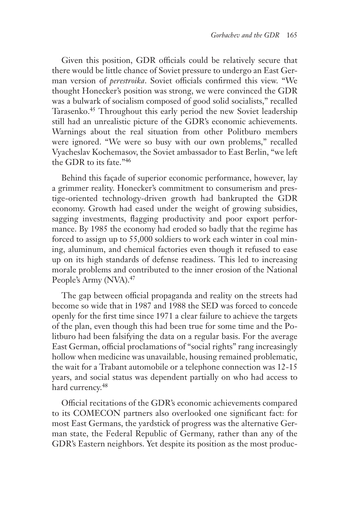Given this position, GDR officials could be relatively secure that there would be little chance of Soviet pressure to undergo an East German version of *perestroika*. Soviet officials confirmed this view. "We thought Honecker's position was strong, we were convinced the GDR was a bulwark of socialism composed of good solid socialists," recalled Tarasenko.45 Throughout this early period the new Soviet leadership still had an unrealistic picture of the GDR's economic achievements. Warnings about the real situation from other Politburo members were ignored. "We were so busy with our own problems," recalled Vyacheslav Kochemasov, the Soviet ambassador to East Berlin, "we left the GDR to its fate."46

Behind this façade of superior economic performance, however, lay a grimmer reality. Honecker's commitment to consumerism and prestige-oriented technology-driven growth had bankrupted the GDR economy. Growth had eased under the weight of growing subsidies, sagging investments, flagging productivity and poor export performance. By 1985 the economy had eroded so badly that the regime has forced to assign up to 55,000 soldiers to work each winter in coal mining, aluminum, and chemical factories even though it refused to ease up on its high standards of defense readiness. This led to increasing morale problems and contributed to the inner erosion of the National People's Army (NVA).<sup>47</sup>

The gap between official propaganda and reality on the streets had become so wide that in 1987 and 1988 the SED was forced to concede openly for the first time since 1971 a clear failure to achieve the targets of the plan, even though this had been true for some time and the Politburo had been falsifying the data on a regular basis. For the average East German, official proclamations of "social rights" rang increasingly hollow when medicine was unavailable, housing remained problematic, the wait for a Trabant automobile or a telephone connection was 12-15 years, and social status was dependent partially on who had access to hard currency.<sup>48</sup>

Official recitations of the GDR's economic achievements compared to its COMECON partners also overlooked one significant fact: for most East Germans, the yardstick of progress was the alternative German state, the Federal Republic of Germany, rather than any of the GDR's Eastern neighbors. Yet despite its position as the most produc-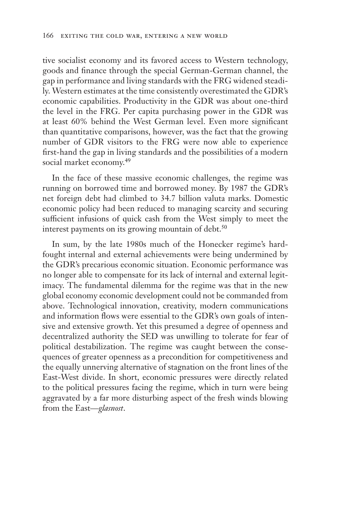tive socialist economy and its favored access to Western technology, goods and finance through the special German-German channel, the gap in performance and living standards with the FRG widened steadily. Western estimates at the time consistently overestimated the GDR's economic capabilities. Productivity in the GDR was about one-third the level in the FRG. Per capita purchasing power in the GDR was at least 60% behind the West German level. Even more significant than quantitative comparisons, however, was the fact that the growing number of GDR visitors to the FRG were now able to experience first-hand the gap in living standards and the possibilities of a modern social market economy.<sup>49</sup>

In the face of these massive economic challenges, the regime was running on borrowed time and borrowed money. By 1987 the GDR's net foreign debt had climbed to 34.7 billion valuta marks. Domestic economic policy had been reduced to managing scarcity and securing sufficient infusions of quick cash from the West simply to meet the interest payments on its growing mountain of debt.<sup>50</sup>

In sum, by the late 1980s much of the Honecker regime's hardfought internal and external achievements were being undermined by the GDR's precarious economic situation. Economic performance was no longer able to compensate for its lack of internal and external legitimacy. The fundamental dilemma for the regime was that in the new global economy economic development could not be commanded from above. Technological innovation, creativity, modern communications and information flows were essential to the GDR's own goals of intensive and extensive growth. Yet this presumed a degree of openness and decentralized authority the SED was unwilling to tolerate for fear of political destabilization. The regime was caught between the consequences of greater openness as a precondition for competitiveness and the equally unnerving alternative of stagnation on the front lines of the East-West divide. In short, economic pressures were directly related to the political pressures facing the regime, which in turn were being aggravated by a far more disturbing aspect of the fresh winds blowing from the East—*glasnost*.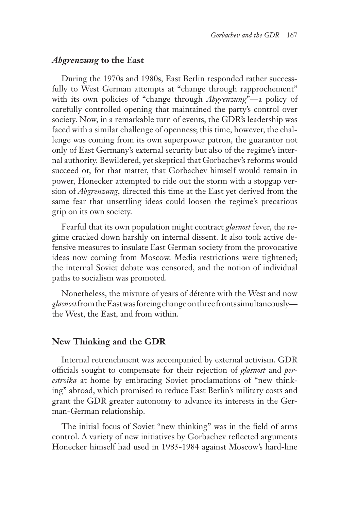#### *Abgrenzung* **to the East**

During the 1970s and 1980s, East Berlin responded rather successfully to West German attempts at "change through rapprochement" with its own policies of "change through *Abgrenzung*"—a policy of carefully controlled opening that maintained the party's control over society. Now, in a remarkable turn of events, the GDR's leadership was faced with a similar challenge of openness; this time, however, the challenge was coming from its own superpower patron, the guarantor not only of East Germany's external security but also of the regime's internal authority. Bewildered, yet skeptical that Gorbachev's reforms would succeed or, for that matter, that Gorbachev himself would remain in power, Honecker attempted to ride out the storm with a stopgap version of *Abgrenzung*, directed this time at the East yet derived from the same fear that unsettling ideas could loosen the regime's precarious grip on its own society.

Fearful that its own population might contract *glasnost* fever, the regime cracked down harshly on internal dissent. It also took active defensive measures to insulate East German society from the provocative ideas now coming from Moscow. Media restrictions were tightened; the internal Soviet debate was censored, and the notion of individual paths to socialism was promoted.

Nonetheless, the mixture of years of détente with the West and now *glasnost* from the East was forcing change on three fronts simultaneously the West, the East, and from within.

### **New Thinking and the GDR**

Internal retrenchment was accompanied by external activism. GDR officials sought to compensate for their rejection of *glasnost* and *perestroika* at home by embracing Soviet proclamations of "new thinking" abroad, which promised to reduce East Berlin's military costs and grant the GDR greater autonomy to advance its interests in the German-German relationship.

The initial focus of Soviet "new thinking" was in the field of arms control. A variety of new initiatives by Gorbachev reflected arguments Honecker himself had used in 1983-1984 against Moscow's hard-line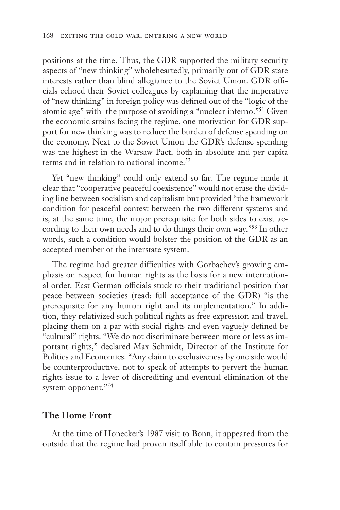positions at the time. Thus, the GDR supported the military security aspects of "new thinking" wholeheartedly, primarily out of GDR state interests rather than blind allegiance to the Soviet Union. GDR officials echoed their Soviet colleagues by explaining that the imperative of "new thinking" in foreign policy was defined out of the "logic of the atomic age" with the purpose of avoiding a "nuclear inferno."51 Given the economic strains facing the regime, one motivation for GDR support for new thinking was to reduce the burden of defense spending on the economy. Next to the Soviet Union the GDR's defense spending was the highest in the Warsaw Pact, both in absolute and per capita terms and in relation to national income.<sup>52</sup>

Yet "new thinking" could only extend so far. The regime made it clear that "cooperative peaceful coexistence" would not erase the dividing line between socialism and capitalism but provided "the framework condition for peaceful contest between the two different systems and is, at the same time, the major prerequisite for both sides to exist according to their own needs and to do things their own way."53 In other words, such a condition would bolster the position of the GDR as an accepted member of the interstate system.

The regime had greater difficulties with Gorbachev's growing emphasis on respect for human rights as the basis for a new international order. East German officials stuck to their traditional position that peace between societies (read: full acceptance of the GDR) "is the prerequisite for any human right and its implementation." In addition, they relativized such political rights as free expression and travel, placing them on a par with social rights and even vaguely defined be "cultural" rights. "We do not discriminate between more or less as important rights," declared Max Schmidt, Director of the Institute for Politics and Economics. "Any claim to exclusiveness by one side would be counterproductive, not to speak of attempts to pervert the human rights issue to a lever of discrediting and eventual elimination of the system opponent."<sup>54</sup>

# **The Home Front**

At the time of Honecker's 1987 visit to Bonn, it appeared from the outside that the regime had proven itself able to contain pressures for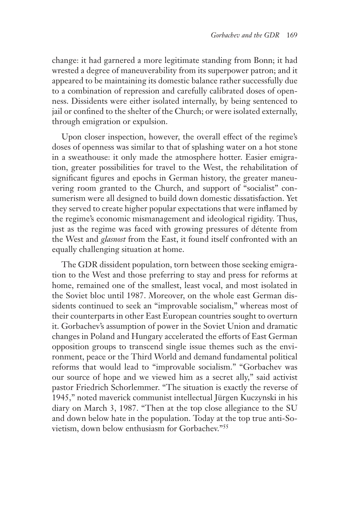change: it had garnered a more legitimate standing from Bonn; it had wrested a degree of maneuverability from its superpower patron; and it appeared to be maintaining its domestic balance rather successfully due to a combination of repression and carefully calibrated doses of openness. Dissidents were either isolated internally, by being sentenced to jail or confined to the shelter of the Church; or were isolated externally, through emigration or expulsion.

Upon closer inspection, however, the overall effect of the regime's doses of openness was similar to that of splashing water on a hot stone in a sweathouse: it only made the atmosphere hotter. Easier emigration, greater possibilities for travel to the West, the rehabilitation of significant figures and epochs in German history, the greater maneuvering room granted to the Church, and support of "socialist" consumerism were all designed to build down domestic dissatisfaction. Yet they served to create higher popular expectations that were inflamed by the regime's economic mismanagement and ideological rigidity. Thus, just as the regime was faced with growing pressures of détente from the West and *glasnost* from the East, it found itself confronted with an equally challenging situation at home.

The GDR dissident population, torn between those seeking emigration to the West and those preferring to stay and press for reforms at home, remained one of the smallest, least vocal, and most isolated in the Soviet bloc until 1987. Moreover, on the whole east German dissidents continued to seek an "improvable socialism," whereas most of their counterparts in other East European countries sought to overturn it. Gorbachev's assumption of power in the Soviet Union and dramatic changes in Poland and Hungary accelerated the efforts of East German opposition groups to transcend single issue themes such as the environment, peace or the Third World and demand fundamental political reforms that would lead to "improvable socialism." "Gorbachev was our source of hope and we viewed him as a secret ally," said activist pastor Friedrich Schorlemmer. "The situation is exactly the reverse of 1945," noted maverick communist intellectual Jürgen Kuczynski in his diary on March 3, 1987. "Then at the top close allegiance to the SU and down below hate in the population. Today at the top true anti-Sovietism, down below enthusiasm for Gorbachev."55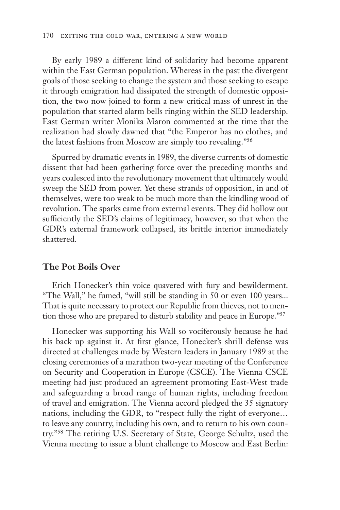By early 1989 a different kind of solidarity had become apparent within the East German population. Whereas in the past the divergent goals of those seeking to change the system and those seeking to escape it through emigration had dissipated the strength of domestic opposition, the two now joined to form a new critical mass of unrest in the population that started alarm bells ringing within the SED leadership. East German writer Monika Maron commented at the time that the realization had slowly dawned that "the Emperor has no clothes, and the latest fashions from Moscow are simply too revealing."56

Spurred by dramatic events in 1989, the diverse currents of domestic dissent that had been gathering force over the preceding months and years coalesced into the revolutionary movement that ultimately would sweep the SED from power. Yet these strands of opposition, in and of themselves, were too weak to be much more than the kindling wood of revolution. The sparks came from external events. They did hollow out sufficiently the SED's claims of legitimacy, however, so that when the GDR's external framework collapsed, its brittle interior immediately shattered.

### **The Pot Boils Over**

Erich Honecker's thin voice quavered with fury and bewilderment. "The Wall," he fumed, "will still be standing in 50 or even 100 years... That is quite necessary to protect our Republic from thieves, not to mention those who are prepared to disturb stability and peace in Europe."57

Honecker was supporting his Wall so vociferously because he had his back up against it. At first glance, Honecker's shrill defense was directed at challenges made by Western leaders in January 1989 at the closing ceremonies of a marathon two-year meeting of the Conference on Security and Cooperation in Europe (CSCE). The Vienna CSCE meeting had just produced an agreement promoting East-West trade and safeguarding a broad range of human rights, including freedom of travel and emigration. The Vienna accord pledged the 35 signatory nations, including the GDR, to "respect fully the right of everyone… to leave any country, including his own, and to return to his own country."58 The retiring U.S. Secretary of State, George Schultz, used the Vienna meeting to issue a blunt challenge to Moscow and East Berlin: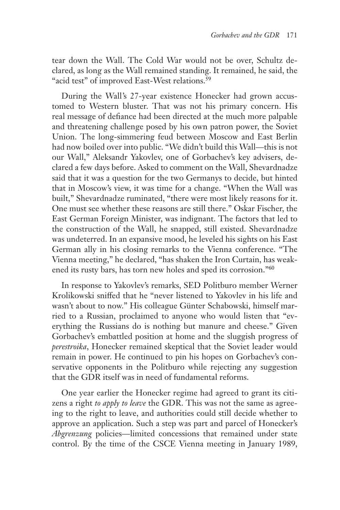tear down the Wall. The Cold War would not be over, Schultz declared, as long as the Wall remained standing. It remained, he said, the "acid test" of improved East-West relations.<sup>59</sup>

During the Wall's 27-year existence Honecker had grown accustomed to Western bluster. That was not his primary concern. His real message of defiance had been directed at the much more palpable and threatening challenge posed by his own patron power, the Soviet Union. The long-simmering feud between Moscow and East Berlin had now boiled over into public. "We didn't build this Wall—this is not our Wall," Aleksandr Yakovlev, one of Gorbachev's key advisers, declared a few days before. Asked to comment on the Wall, Shevardnadze said that it was a question for the two Germanys to decide, but hinted that in Moscow's view, it was time for a change. "When the Wall was built," Shevardnadze ruminated, "there were most likely reasons for it. One must see whether these reasons are still there." Oskar Fischer, the East German Foreign Minister, was indignant. The factors that led to the construction of the Wall, he snapped, still existed. Shevardnadze was undeterred. In an expansive mood, he leveled his sights on his East German ally in his closing remarks to the Vienna conference. "The Vienna meeting," he declared, "has shaken the Iron Curtain, has weakened its rusty bars, has torn new holes and sped its corrosion."60

In response to Yakovlev's remarks, SED Politburo member Werner Krolikowski sniffed that he "never listened to Yakovlev in his life and wasn't about to now." His colleague Günter Schabowski, himself married to a Russian, proclaimed to anyone who would listen that "everything the Russians do is nothing but manure and cheese." Given Gorbachev's embattled position at home and the sluggish progress of *perestroika*, Honecker remained skeptical that the Soviet leader would remain in power. He continued to pin his hopes on Gorbachev's conservative opponents in the Politburo while rejecting any suggestion that the GDR itself was in need of fundamental reforms.

One year earlier the Honecker regime had agreed to grant its citizens a right *to apply to leave* the GDR. This was not the same as agreeing to the right to leave, and authorities could still decide whether to approve an application. Such a step was part and parcel of Honecker's *Abgrenzung* policies—limited concessions that remained under state control. By the time of the CSCE Vienna meeting in January 1989,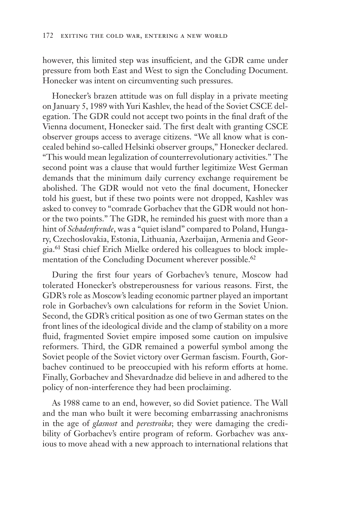however, this limited step was insufficient, and the GDR came under pressure from both East and West to sign the Concluding Document. Honecker was intent on circumventing such pressures.

Honecker's brazen attitude was on full display in a private meeting on January 5, 1989 with Yuri Kashlev, the head of the Soviet CSCE delegation. The GDR could not accept two points in the final draft of the Vienna document, Honecker said. The first dealt with granting CSCE observer groups access to average citizens. "We all know what is concealed behind so-called Helsinki observer groups," Honecker declared. "This would mean legalization of counterrevolutionary activities." The second point was a clause that would further legitimize West German demands that the minimum daily currency exchange requirement be abolished. The GDR would not veto the final document, Honecker told his guest, but if these two points were not dropped, Kashlev was asked to convey to "comrade Gorbachev that the GDR would not honor the two points." The GDR, he reminded his guest with more than a hint of *Schadenfreude*, was a "quiet island" compared to Poland, Hungary, Czechoslovakia, Estonia, Lithuania, Azerbaijan, Armenia and Georgia.61 Stasi chief Erich Mielke ordered his colleagues to block implementation of the Concluding Document wherever possible.<sup>62</sup>

During the first four years of Gorbachev's tenure, Moscow had tolerated Honecker's obstreperousness for various reasons. First, the GDR's role as Moscow's leading economic partner played an important role in Gorbachev's own calculations for reform in the Soviet Union. Second, the GDR's critical position as one of two German states on the front lines of the ideological divide and the clamp of stability on a more fluid, fragmented Soviet empire imposed some caution on impulsive reformers. Third, the GDR remained a powerful symbol among the Soviet people of the Soviet victory over German fascism. Fourth, Gorbachev continued to be preoccupied with his reform efforts at home. Finally, Gorbachev and Shevardnadze did believe in and adhered to the policy of non-interference they had been proclaiming.

As 1988 came to an end, however, so did Soviet patience. The Wall and the man who built it were becoming embarrassing anachronisms in the age of *glasnost* and *perestroika*; they were damaging the credibility of Gorbachev's entire program of reform. Gorbachev was anxious to move ahead with a new approach to international relations that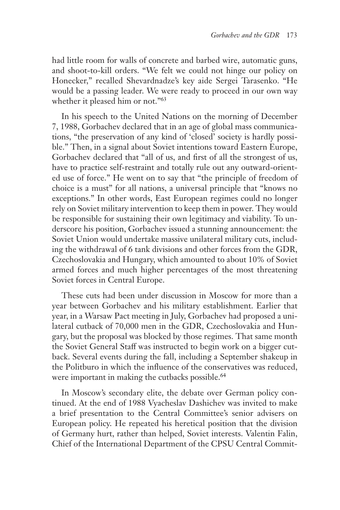had little room for walls of concrete and barbed wire, automatic guns, and shoot-to-kill orders. "We felt we could not hinge our policy on Honecker," recalled Shevardnadze's key aide Sergei Tarasenko. "He would be a passing leader. We were ready to proceed in our own way whether it pleased him or not."<sup>63</sup>

In his speech to the United Nations on the morning of December 7, 1988, Gorbachev declared that in an age of global mass communications, "the preservation of any kind of 'closed' society is hardly possible." Then, in a signal about Soviet intentions toward Eastern Europe, Gorbachev declared that "all of us, and first of all the strongest of us, have to practice self-restraint and totally rule out any outward-oriented use of force." He went on to say that "the principle of freedom of choice is a must" for all nations, a universal principle that "knows no exceptions." In other words, East European regimes could no longer rely on Soviet military intervention to keep them in power. They would be responsible for sustaining their own legitimacy and viability. To underscore his position, Gorbachev issued a stunning announcement: the Soviet Union would undertake massive unilateral military cuts, including the withdrawal of 6 tank divisions and other forces from the GDR, Czechoslovakia and Hungary, which amounted to about 10% of Soviet armed forces and much higher percentages of the most threatening Soviet forces in Central Europe.

These cuts had been under discussion in Moscow for more than a year between Gorbachev and his military establishment. Earlier that year, in a Warsaw Pact meeting in July, Gorbachev had proposed a unilateral cutback of 70,000 men in the GDR, Czechoslovakia and Hungary, but the proposal was blocked by those regimes. That same month the Soviet General Staff was instructed to begin work on a bigger cutback. Several events during the fall, including a September shakeup in the Politburo in which the influence of the conservatives was reduced, were important in making the cutbacks possible.<sup>64</sup>

In Moscow's secondary elite, the debate over German policy continued. At the end of 1988 Vyacheslav Dashichev was invited to make a brief presentation to the Central Committee's senior advisers on European policy. He repeated his heretical position that the division of Germany hurt, rather than helped, Soviet interests. Valentin Falin, Chief of the International Department of the CPSU Central Commit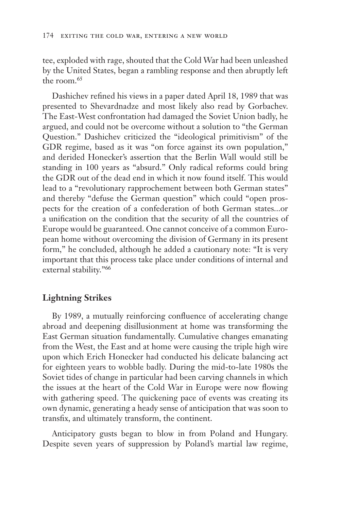tee, exploded with rage, shouted that the Cold War had been unleashed by the United States, began a rambling response and then abruptly left the room.<sup>65</sup>

Dashichev refined his views in a paper dated April 18, 1989 that was presented to Shevardnadze and most likely also read by Gorbachev. The East-West confrontation had damaged the Soviet Union badly, he argued, and could not be overcome without a solution to "the German Question." Dashichev criticized the "ideological primitivism" of the GDR regime, based as it was "on force against its own population," and derided Honecker's assertion that the Berlin Wall would still be standing in 100 years as "absurd." Only radical reforms could bring the GDR out of the dead end in which it now found itself. This would lead to a "revolutionary rapprochement between both German states" and thereby "defuse the German question" which could "open prospects for the creation of a confederation of both German states...or a unification on the condition that the security of all the countries of Europe would be guaranteed. One cannot conceive of a common European home without overcoming the division of Germany in its present form," he concluded, although he added a cautionary note: "It is very important that this process take place under conditions of internal and external stability."66

# **Lightning Strikes**

By 1989, a mutually reinforcing confluence of accelerating change abroad and deepening disillusionment at home was transforming the East German situation fundamentally. Cumulative changes emanating from the West, the East and at home were causing the triple high wire upon which Erich Honecker had conducted his delicate balancing act for eighteen years to wobble badly. During the mid-to-late 1980s the Soviet tides of change in particular had been carving channels in which the issues at the heart of the Cold War in Europe were now flowing with gathering speed. The quickening pace of events was creating its own dynamic, generating a heady sense of anticipation that was soon to transfix, and ultimately transform, the continent.

Anticipatory gusts began to blow in from Poland and Hungary. Despite seven years of suppression by Poland's martial law regime,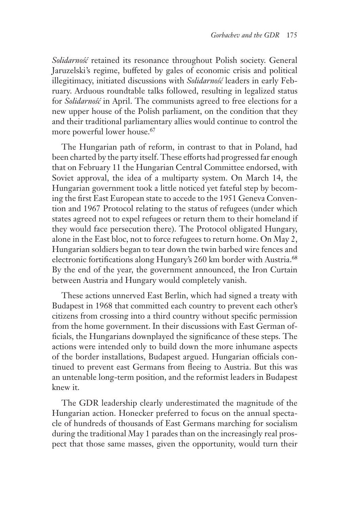*Solidarność* retained its resonance throughout Polish society. General Jaruzelski's regime, buffeted by gales of economic crisis and political illegitimacy, initiated discussions with *Solidarność* leaders in early February. Arduous roundtable talks followed, resulting in legalized status for *Solidarność* in April. The communists agreed to free elections for a new upper house of the Polish parliament, on the condition that they and their traditional parliamentary allies would continue to control the more powerful lower house.<sup>67</sup>

The Hungarian path of reform, in contrast to that in Poland, had been charted by the party itself. These efforts had progressed far enough that on February 11 the Hungarian Central Committee endorsed, with Soviet approval, the idea of a multiparty system. On March 14, the Hungarian government took a little noticed yet fateful step by becoming the first East European state to accede to the 1951 Geneva Convention and 1967 Protocol relating to the status of refugees (under which states agreed not to expel refugees or return them to their homeland if they would face persecution there). The Protocol obligated Hungary, alone in the East bloc, not to force refugees to return home. On May 2, Hungarian soldiers began to tear down the twin barbed wire fences and electronic fortifications along Hungary's 260 km border with Austria.<sup>68</sup> By the end of the year, the government announced, the Iron Curtain between Austria and Hungary would completely vanish.

These actions unnerved East Berlin, which had signed a treaty with Budapest in 1968 that committed each country to prevent each other's citizens from crossing into a third country without specific permission from the home government. In their discussions with East German officials, the Hungarians downplayed the significance of these steps. The actions were intended only to build down the more inhumane aspects of the border installations, Budapest argued. Hungarian officials continued to prevent east Germans from fleeing to Austria. But this was an untenable long-term position, and the reformist leaders in Budapest knew it.

The GDR leadership clearly underestimated the magnitude of the Hungarian action. Honecker preferred to focus on the annual spectacle of hundreds of thousands of East Germans marching for socialism during the traditional May 1 parades than on the increasingly real prospect that those same masses, given the opportunity, would turn their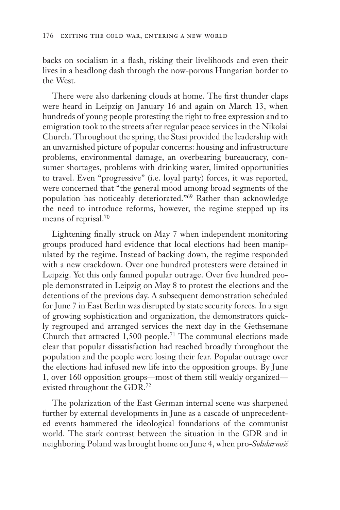backs on socialism in a flash, risking their livelihoods and even their lives in a headlong dash through the now-porous Hungarian border to the West.

There were also darkening clouds at home. The first thunder claps were heard in Leipzig on January 16 and again on March 13, when hundreds of young people protesting the right to free expression and to emigration took to the streets after regular peace services in the Nikolai Church. Throughout the spring, the Stasi provided the leadership with an unvarnished picture of popular concerns: housing and infrastructure problems, environmental damage, an overbearing bureaucracy, consumer shortages, problems with drinking water, limited opportunities to travel. Even "progressive" (i.e. loyal party) forces, it was reported, were concerned that "the general mood among broad segments of the population has noticeably deteriorated."69 Rather than acknowledge the need to introduce reforms, however, the regime stepped up its means of reprisal.<sup>70</sup>

Lightening finally struck on May 7 when independent monitoring groups produced hard evidence that local elections had been manipulated by the regime. Instead of backing down, the regime responded with a new crackdown. Over one hundred protesters were detained in Leipzig. Yet this only fanned popular outrage. Over five hundred people demonstrated in Leipzig on May 8 to protest the elections and the detentions of the previous day. A subsequent demonstration scheduled for June 7 in East Berlin was disrupted by state security forces. In a sign of growing sophistication and organization, the demonstrators quickly regrouped and arranged services the next day in the Gethsemane Church that attracted  $1,500$  people.<sup>71</sup> The communal elections made clear that popular dissatisfaction had reached broadly throughout the population and the people were losing their fear. Popular outrage over the elections had infused new life into the opposition groups. By June 1, over 160 opposition groups—most of them still weakly organized existed throughout the GDR.72

The polarization of the East German internal scene was sharpened further by external developments in June as a cascade of unprecedented events hammered the ideological foundations of the communist world. The stark contrast between the situation in the GDR and in neighboring Poland was brought home on June 4, when pro-*Solidarność*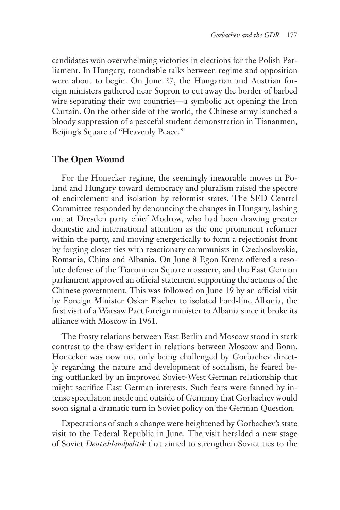candidates won overwhelming victories in elections for the Polish Parliament. In Hungary, roundtable talks between regime and opposition were about to begin. On June 27, the Hungarian and Austrian foreign ministers gathered near Sopron to cut away the border of barbed wire separating their two countries—a symbolic act opening the Iron Curtain. On the other side of the world, the Chinese army launched a bloody suppression of a peaceful student demonstration in Tiananmen, Beijing's Square of "Heavenly Peace."

# **The Open Wound**

For the Honecker regime, the seemingly inexorable moves in Poland and Hungary toward democracy and pluralism raised the spectre of encirclement and isolation by reformist states. The SED Central Committee responded by denouncing the changes in Hungary, lashing out at Dresden party chief Modrow, who had been drawing greater domestic and international attention as the one prominent reformer within the party, and moving energetically to form a rejectionist front by forging closer ties with reactionary communists in Czechoslovakia, Romania, China and Albania. On June 8 Egon Krenz offered a resolute defense of the Tiananmen Square massacre, and the East German parliament approved an official statement supporting the actions of the Chinese government. This was followed on June 19 by an official visit by Foreign Minister Oskar Fischer to isolated hard-line Albania, the first visit of a Warsaw Pact foreign minister to Albania since it broke its alliance with Moscow in 1961.

The frosty relations between East Berlin and Moscow stood in stark contrast to the thaw evident in relations between Moscow and Bonn. Honecker was now not only being challenged by Gorbachev directly regarding the nature and development of socialism, he feared being outflanked by an improved Soviet-West German relationship that might sacrifice East German interests. Such fears were fanned by intense speculation inside and outside of Germany that Gorbachev would soon signal a dramatic turn in Soviet policy on the German Question.

Expectations of such a change were heightened by Gorbachev's state visit to the Federal Republic in June. The visit heralded a new stage of Soviet *Deutschlandpolitik* that aimed to strengthen Soviet ties to the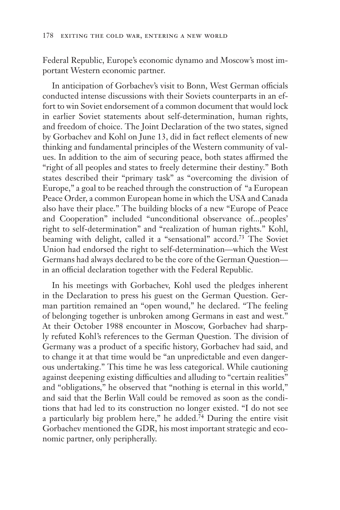Federal Republic, Europe's economic dynamo and Moscow's most important Western economic partner.

In anticipation of Gorbachev's visit to Bonn, West German officials conducted intense discussions with their Soviets counterparts in an effort to win Soviet endorsement of a common document that would lock in earlier Soviet statements about self-determination, human rights, and freedom of choice. The Joint Declaration of the two states, signed by Gorbachev and Kohl on June 13, did in fact reflect elements of new thinking and fundamental principles of the Western community of values. In addition to the aim of securing peace, both states affirmed the "right of all peoples and states to freely determine their destiny." Both states described their "primary task" as "overcoming the division of Europe," a goal to be reached through the construction of "a European Peace Order, a common European home in which the USA and Canada also have their place." The building blocks of a new "Europe of Peace and Cooperation" included "unconditional observance of...peoples' right to self-determination" and "realization of human rights." Kohl, beaming with delight, called it a "sensational" accord.<sup>73</sup> The Soviet Union had endorsed the right to self-determination—which the West Germans had always declared to be the core of the German Question in an official declaration together with the Federal Republic.

In his meetings with Gorbachev, Kohl used the pledges inherent in the Declaration to press his guest on the German Question. German partition remained an "open wound," he declared. "The feeling of belonging together is unbroken among Germans in east and west." At their October 1988 encounter in Moscow, Gorbachev had sharply refuted Kohl's references to the German Question. The division of Germany was a product of a specific history, Gorbachev had said, and to change it at that time would be "an unpredictable and even dangerous undertaking." This time he was less categorical. While cautioning against deepening existing difficulties and alluding to "certain realities" and "obligations," he observed that "nothing is eternal in this world," and said that the Berlin Wall could be removed as soon as the conditions that had led to its construction no longer existed. "I do not see a particularly big problem here," he added.74 During the entire visit Gorbachev mentioned the GDR, his most important strategic and economic partner, only peripherally.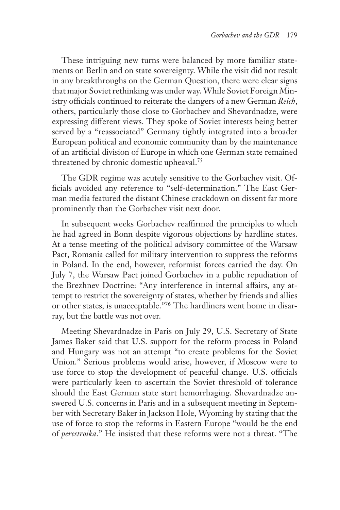These intriguing new turns were balanced by more familiar statements on Berlin and on state sovereignty. While the visit did not result in any breakthroughs on the German Question, there were clear signs that major Soviet rethinking was under way. While Soviet Foreign Ministry officials continued to reiterate the dangers of a new German *Reich*, others, particularly those close to Gorbachev and Shevardnadze, were expressing different views. They spoke of Soviet interests being better served by a "reassociated" Germany tightly integrated into a broader European political and economic community than by the maintenance of an artificial division of Europe in which one German state remained threatened by chronic domestic upheaval.75

The GDR regime was acutely sensitive to the Gorbachev visit. Officials avoided any reference to "self-determination." The East German media featured the distant Chinese crackdown on dissent far more prominently than the Gorbachev visit next door.

In subsequent weeks Gorbachev reaffirmed the principles to which he had agreed in Bonn despite vigorous objections by hardline states. At a tense meeting of the political advisory committee of the Warsaw Pact, Romania called for military intervention to suppress the reforms in Poland. In the end, however, reformist forces carried the day. On July 7, the Warsaw Pact joined Gorbachev in a public repudiation of the Brezhnev Doctrine: "Any interference in internal affairs, any attempt to restrict the sovereignty of states, whether by friends and allies or other states, is unacceptable."76 The hardliners went home in disarray, but the battle was not over.

Meeting Shevardnadze in Paris on July 29, U.S. Secretary of State James Baker said that U.S. support for the reform process in Poland and Hungary was not an attempt "to create problems for the Soviet Union." Serious problems would arise, however, if Moscow were to use force to stop the development of peaceful change. U.S. officials were particularly keen to ascertain the Soviet threshold of tolerance should the East German state start hemorrhaging. Shevardnadze answered U.S. concerns in Paris and in a subsequent meeting in September with Secretary Baker in Jackson Hole, Wyoming by stating that the use of force to stop the reforms in Eastern Europe "would be the end of *perestroika*." He insisted that these reforms were not a threat. "The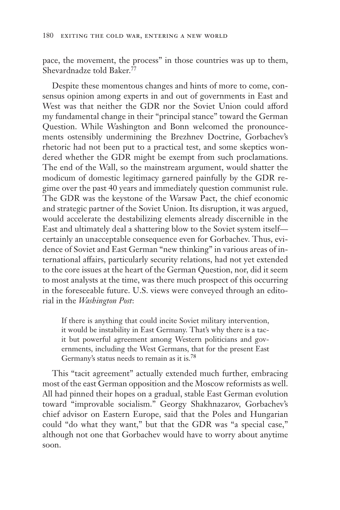pace, the movement, the process" in those countries was up to them, Shevardnadze told Baker.77

Despite these momentous changes and hints of more to come, consensus opinion among experts in and out of governments in East and West was that neither the GDR nor the Soviet Union could afford my fundamental change in their "principal stance" toward the German Question. While Washington and Bonn welcomed the pronouncements ostensibly undermining the Brezhnev Doctrine, Gorbachev's rhetoric had not been put to a practical test, and some skeptics wondered whether the GDR might be exempt from such proclamations. The end of the Wall, so the mainstream argument, would shatter the modicum of domestic legitimacy garnered painfully by the GDR regime over the past 40 years and immediately question communist rule. The GDR was the keystone of the Warsaw Pact, the chief economic and strategic partner of the Soviet Union. Its disruption, it was argued, would accelerate the destabilizing elements already discernible in the East and ultimately deal a shattering blow to the Soviet system itself certainly an unacceptable consequence even for Gorbachev. Thus, evidence of Soviet and East German "new thinking" in various areas of international affairs, particularly security relations, had not yet extended to the core issues at the heart of the German Question, nor, did it seem to most analysts at the time, was there much prospect of this occurring in the foreseeable future. U.S. views were conveyed through an editorial in the *Washington Post*:

If there is anything that could incite Soviet military intervention, it would be instability in East Germany. That's why there is a tacit but powerful agreement among Western politicians and governments, including the West Germans, that for the present East Germany's status needs to remain as it is.<sup>78</sup>

This "tacit agreement" actually extended much further, embracing most of the east German opposition and the Moscow reformists as well. All had pinned their hopes on a gradual, stable East German evolution toward "improvable socialism." Georgy Shakhnazarov, Gorbachev's chief advisor on Eastern Europe, said that the Poles and Hungarian could "do what they want," but that the GDR was "a special case," although not one that Gorbachev would have to worry about anytime soon.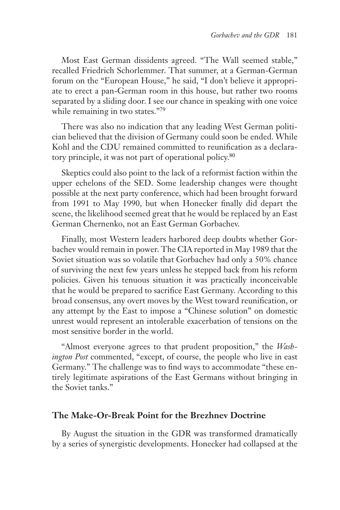Most East German dissidents agreed. "The Wall seemed stable," recalled Friedrich Schorlemmer. That summer, at a German-German forum on the "European House," he said, "I don't believe it appropriate to erect a pan-German room in this house, but rather two rooms separated by a sliding door. I see our chance in speaking with one voice while remaining in two states."79

There was also no indication that any leading West German politician believed that the division of Germany could soon be ended. While Kohl and the CDU remained committed to reunification as a declaratory principle, it was not part of operational policy.80

Skeptics could also point to the lack of a reformist faction within the upper echelons of the SED. Some leadership changes were thought possible at the next party conference, which had been brought forward from 1991 to May 1990, but when Honecker finally did depart the scene, the likelihood seemed great that he would be replaced by an East German Chernenko, not an East German Gorbachev.

Finally, most Western leaders harbored deep doubts whether Gorbachev would remain in power. The CIA reported in May 1989 that the Soviet situation was so volatile that Gorbachev had only a 50% chance of surviving the next few years unless he stepped back from his reform policies. Given his tenuous situation it was practically inconceivable that he would be prepared to sacrifice East Germany. According to this broad consensus, any overt moves by the West toward reunification, or any attempt by the East to impose a "Chinese solution" on domestic unrest would represent an intolerable exacerbation of tensions on the most sensitive border in the world.

"Almost everyone agrees to that prudent proposition," the *Washington Post* commented, "except, of course, the people who live in east Germany." The challenge was to find ways to accommodate "these entirely legitimate aspirations of the East Germans without bringing in the Soviet tanks."

## **The Make-Or-Break Point for the Brezhnev Doctrine**

By August the situation in the GDR was transformed dramatically by a series of synergistic developments. Honecker had collapsed at the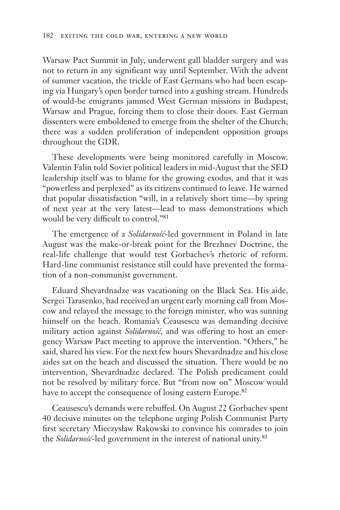Warsaw Pact Summit in July, underwent gall bladder surgery and was not to return in any significant way until September. With the advent of summer vacation, the trickle of East Germans who had been escaping via Hungary's open border turned into a gushing stream. Hundreds of would-be emigrants jammed West German missions in Budapest, Warsaw and Prague, forcing them to close their doors. East German dissenters were emboldened to emerge from the shelter of the Church; there was a sudden proliferation of independent opposition groups throughout the GDR.

These developments were being monitored carefully in Moscow. Valentin Falin told Soviet political leaders in mid-August that the SED leadership itself was to blame for the growing exodus, and that it was "powerless and perplexed" as its citizens continued to leave. He warned that popular dissatisfaction "will, in a relatively short time—by spring of next year at the very latest—lead to mass demonstrations which would be very difficult to control."<sup>81</sup>

The emergence of a *Solidarność*-led government in Poland in late August was the make-or-break point for the Brezhnev Doctrine, the real-life challenge that would test Gorbachev's rhetoric of reform. Hard-line communist resistance still could have prevented the formation of a non-communist government.

Eduard Shevardnadze was vacationing on the Black Sea. His aide, Sergei Tarasenko, had received an urgent early morning call from Moscow and relayed the message to the foreign minister, who was sunning himself on the beach. Romania's Ceausescu was demanding decisive military action against *Solidarność*, and was offering to host an emergency Warsaw Pact meeting to approve the intervention. "Others," he said, shared his view. For the next few hours Shevardnadze and his close aides sat on the beach and discussed the situation. There would be no intervention, Shevardnadze declared. The Polish predicament could not be resolved by military force. But "from now on" Moscow would have to accept the consequence of losing eastern Europe.<sup>82</sup>

Ceausescu's demands were rebuffed. On August 22 Gorbachev spent 40 decisive minutes on the telephone urging Polish Communist Party first secretary Mieczysław Rakowski to convince his comrades to join the *Solidarność*-led government in the interest of national unity.83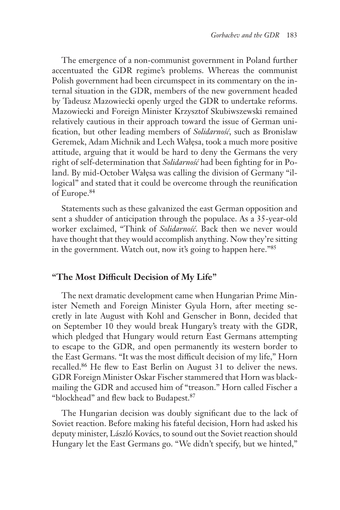The emergence of a non-communist government in Poland further accentuated the GDR regime's problems. Whereas the communist Polish government had been circumspect in its commentary on the internal situation in the GDR, members of the new government headed by Tadeusz Mazowiecki openly urged the GDR to undertake reforms. Mazowiecki and Foreign Minister Krzysztof Skubiwszewski remained relatively cautious in their approach toward the issue of German unification, but other leading members of *Solidarność*, such as Bronislaw Geremek, Adam Michnik and Lech Wałęsa, took a much more positive attitude, arguing that it would be hard to deny the Germans the very right of self-determination that *Solidarność* had been fighting for in Poland. By mid-October Wałęsa was calling the division of Germany "illogical" and stated that it could be overcome through the reunification of Europe.84

Statements such as these galvanized the east German opposition and sent a shudder of anticipation through the populace. As a 35-year-old worker exclaimed, "Think of *Solidarność*. Back then we never would have thought that they would accomplish anything. Now they're sitting in the government. Watch out, now it's going to happen here."85

# **"The Most Difficult Decision of My Life"**

The next dramatic development came when Hungarian Prime Minister Nemeth and Foreign Minister Gyula Horn, after meeting secretly in late August with Kohl and Genscher in Bonn, decided that on September 10 they would break Hungary's treaty with the GDR, which pledged that Hungary would return East Germans attempting to escape to the GDR, and open permanently its western border to the East Germans. "It was the most difficult decision of my life," Horn recalled.86 He flew to East Berlin on August 31 to deliver the news. GDR Foreign Minister Oskar Fischer stammered that Horn was blackmailing the GDR and accused him of "treason." Horn called Fischer a "blockhead" and flew back to Budapest.87

The Hungarian decision was doubly significant due to the lack of Soviet reaction. Before making his fateful decision, Horn had asked his deputy minister, László Kovács, to sound out the Soviet reaction should Hungary let the East Germans go. "We didn't specify, but we hinted,"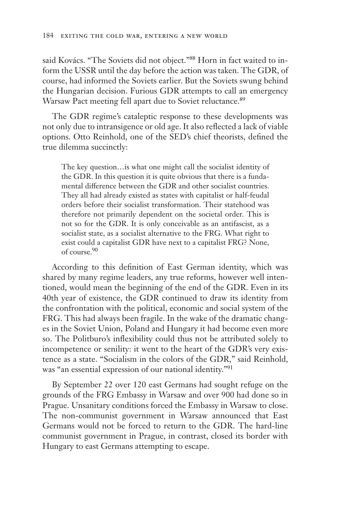said Kovács. "The Soviets did not object."88 Horn in fact waited to inform the USSR until the day before the action was taken. The GDR, of course, had informed the Soviets earlier. But the Soviets swung behind the Hungarian decision. Furious GDR attempts to call an emergency Warsaw Pact meeting fell apart due to Soviet reluctance.<sup>89</sup>

The GDR regime's cataleptic response to these developments was not only due to intransigence or old age. It also reflected a lack of viable options. Otto Reinhold, one of the SED's chief theorists, defined the true dilemma succinctly:

The key question…is what one might call the socialist identity of the GDR. In this question it is quite obvious that there is a fundamental difference between the GDR and other socialist countries. They all had already existed as states with capitalist or half-feudal orders before their socialist transformation. Their statehood was therefore not primarily dependent on the societal order. This is not so for the GDR. It is only conceivable as an antifascist, as a socialist state, as a socialist alternative to the FRG. What right to exist could a capitalist GDR have next to a capitalist FRG? None, of course.90

According to this definition of East German identity, which was shared by many regime leaders, any true reforms, however well intentioned, would mean the beginning of the end of the GDR. Even in its 40th year of existence, the GDR continued to draw its identity from the confrontation with the political, economic and social system of the FRG. This had always been fragile. In the wake of the dramatic changes in the Soviet Union, Poland and Hungary it had become even more so. The Politburo's inflexibility could thus not be attributed solely to incompetence or senility: it went to the heart of the GDR's very existence as a state. "Socialism in the colors of the GDR," said Reinhold, was "an essential expression of our national identity."91

By September 22 over 120 east Germans had sought refuge on the grounds of the FRG Embassy in Warsaw and over 900 had done so in Prague. Unsanitary conditions forced the Embassy in Warsaw to close. The non-communist government in Warsaw announced that East Germans would not be forced to return to the GDR. The hard-line communist government in Prague, in contrast, closed its border with Hungary to east Germans attempting to escape.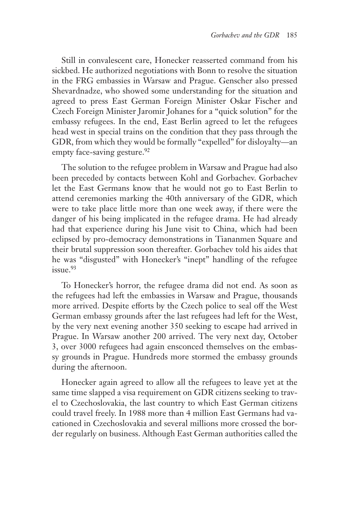Still in convalescent care, Honecker reasserted command from his sickbed. He authorized negotiations with Bonn to resolve the situation in the FRG embassies in Warsaw and Prague. Genscher also pressed Shevardnadze, who showed some understanding for the situation and agreed to press East German Foreign Minister Oskar Fischer and Czech Foreign Minister Jaromir Johanes for a "quick solution" for the embassy refugees. In the end, East Berlin agreed to let the refugees head west in special trains on the condition that they pass through the GDR, from which they would be formally "expelled" for disloyalty—an empty face-saving gesture.<sup>92</sup>

The solution to the refugee problem in Warsaw and Prague had also been preceded by contacts between Kohl and Gorbachev. Gorbachev let the East Germans know that he would not go to East Berlin to attend ceremonies marking the 40th anniversary of the GDR, which were to take place little more than one week away, if there were the danger of his being implicated in the refugee drama. He had already had that experience during his June visit to China, which had been eclipsed by pro-democracy demonstrations in Tiananmen Square and their brutal suppression soon thereafter. Gorbachev told his aides that he was "disgusted" with Honecker's "inept" handling of the refugee issue.93

To Honecker's horror, the refugee drama did not end. As soon as the refugees had left the embassies in Warsaw and Prague, thousands more arrived. Despite efforts by the Czech police to seal off the West German embassy grounds after the last refugees had left for the West, by the very next evening another 350 seeking to escape had arrived in Prague. In Warsaw another 200 arrived. The very next day, October 3, over 3000 refugees had again ensconced themselves on the embassy grounds in Prague. Hundreds more stormed the embassy grounds during the afternoon.

Honecker again agreed to allow all the refugees to leave yet at the same time slapped a visa requirement on GDR citizens seeking to travel to Czechoslovakia, the last country to which East German citizens could travel freely. In 1988 more than 4 million East Germans had vacationed in Czechoslovakia and several millions more crossed the border regularly on business. Although East German authorities called the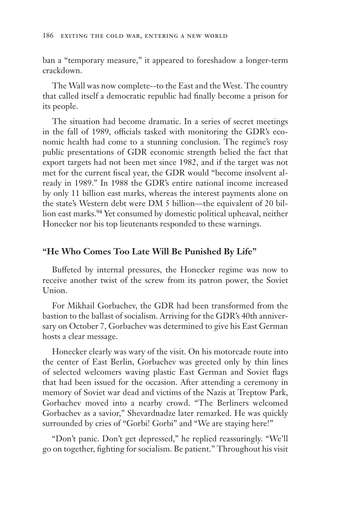ban a "temporary measure," it appeared to foreshadow a longer-term crackdown.

The Wall was now complete--to the East and the West. The country that called itself a democratic republic had finally become a prison for its people.

The situation had become dramatic. In a series of secret meetings in the fall of 1989, officials tasked with monitoring the GDR's economic health had come to a stunning conclusion. The regime's rosy public presentations of GDR economic strength belied the fact that export targets had not been met since 1982, and if the target was not met for the current fiscal year, the GDR would "become insolvent already in 1989." In 1988 the GDR's entire national income increased by only 11 billion east marks, whereas the interest payments alone on the state's Western debt were DM 5 billion—the equivalent of 20 billion east marks.<sup>94</sup> Yet consumed by domestic political upheaval, neither Honecker nor his top lieutenants responded to these warnings.

### **"He Who Comes Too Late Will Be Punished By Life"**

Buffeted by internal pressures, the Honecker regime was now to receive another twist of the screw from its patron power, the Soviet Union.

For Mikhail Gorbachev, the GDR had been transformed from the bastion to the ballast of socialism. Arriving for the GDR's 40th anniversary on October 7, Gorbachev was determined to give his East German hosts a clear message.

Honecker clearly was wary of the visit. On his motorcade route into the center of East Berlin, Gorbachev was greeted only by thin lines of selected welcomers waving plastic East German and Soviet flags that had been issued for the occasion. After attending a ceremony in memory of Soviet war dead and victims of the Nazis at Treptow Park, Gorbachev moved into a nearby crowd. "The Berliners welcomed Gorbachev as a savior," Shevardnadze later remarked. He was quickly surrounded by cries of "Gorbi! Gorbi" and "We are staying here!"

"Don't panic. Don't get depressed," he replied reassuringly. "We'll go on together, fighting for socialism. Be patient." Throughout his visit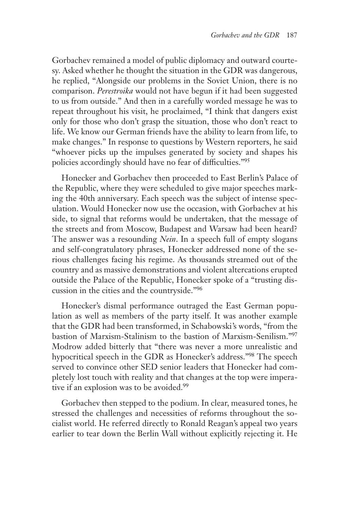Gorbachev remained a model of public diplomacy and outward courtesy. Asked whether he thought the situation in the GDR was dangerous, he replied, "Alongside our problems in the Soviet Union, there is no comparison. *Perestroika* would not have begun if it had been suggested to us from outside." And then in a carefully worded message he was to repeat throughout his visit, he proclaimed, "I think that dangers exist only for those who don't grasp the situation, those who don't react to life. We know our German friends have the ability to learn from life, to make changes." In response to questions by Western reporters, he said "whoever picks up the impulses generated by society and shapes his policies accordingly should have no fear of difficulties."95

Honecker and Gorbachev then proceeded to East Berlin's Palace of the Republic, where they were scheduled to give major speeches marking the 40th anniversary. Each speech was the subject of intense speculation. Would Honecker now use the occasion, with Gorbachev at his side, to signal that reforms would be undertaken, that the message of the streets and from Moscow, Budapest and Warsaw had been heard? The answer was a resounding *Nein*. In a speech full of empty slogans and self-congratulatory phrases, Honecker addressed none of the serious challenges facing his regime. As thousands streamed out of the country and as massive demonstrations and violent altercations erupted outside the Palace of the Republic, Honecker spoke of a "trusting discussion in the cities and the countryside."96

Honecker's dismal performance outraged the East German population as well as members of the party itself. It was another example that the GDR had been transformed, in Schabowski's words, "from the bastion of Marxism-Stalinism to the bastion of Marxism-Senilism."97 Modrow added bitterly that "there was never a more unrealistic and hypocritical speech in the GDR as Honecker's address."98 The speech served to convince other SED senior leaders that Honecker had completely lost touch with reality and that changes at the top were imperative if an explosion was to be avoided.<sup>99</sup>

Gorbachev then stepped to the podium. In clear, measured tones, he stressed the challenges and necessities of reforms throughout the socialist world. He referred directly to Ronald Reagan's appeal two years earlier to tear down the Berlin Wall without explicitly rejecting it. He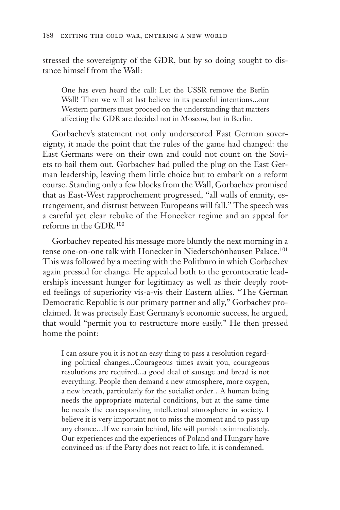stressed the sovereignty of the GDR, but by so doing sought to distance himself from the Wall:

One has even heard the call: Let the USSR remove the Berlin Wall! Then we will at last believe in its peaceful intentions...our Western partners must proceed on the understanding that matters affecting the GDR are decided not in Moscow, but in Berlin.

Gorbachev's statement not only underscored East German sovereignty, it made the point that the rules of the game had changed: the East Germans were on their own and could not count on the Soviets to bail them out. Gorbachev had pulled the plug on the East German leadership, leaving them little choice but to embark on a reform course. Standing only a few blocks from the Wall, Gorbachev promised that as East-West rapprochement progressed, "all walls of enmity, estrangement, and distrust between Europeans will fall." The speech was a careful yet clear rebuke of the Honecker regime and an appeal for reforms in the GDR.100

Gorbachev repeated his message more bluntly the next morning in a tense one-on-one talk with Honecker in Niederschönhausen Palace.101 This was followed by a meeting with the Politburo in which Gorbachev again pressed for change. He appealed both to the gerontocratic leadership's incessant hunger for legitimacy as well as their deeply rooted feelings of superiority vis-a-vis their Eastern allies. "The German Democratic Republic is our primary partner and ally," Gorbachev proclaimed. It was precisely East Germany's economic success, he argued, that would "permit you to restructure more easily." He then pressed home the point:

I can assure you it is not an easy thing to pass a resolution regarding political changes...Courageous times await you, courageous resolutions are required...a good deal of sausage and bread is not everything. People then demand a new atmosphere, more oxygen, a new breath, particularly for the socialist order…A human being needs the appropriate material conditions, but at the same time he needs the corresponding intellectual atmosphere in society. I believe it is very important not to miss the moment and to pass up any chance…If we remain behind, life will punish us immediately. Our experiences and the experiences of Poland and Hungary have convinced us: if the Party does not react to life, it is condemned.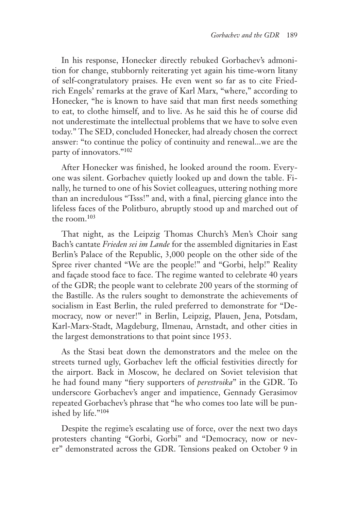In his response, Honecker directly rebuked Gorbachev's admonition for change, stubbornly reiterating yet again his time-worn litany of self-congratulatory praises. He even went so far as to cite Friedrich Engels' remarks at the grave of Karl Marx, "where," according to Honecker, "he is known to have said that man first needs something to eat, to clothe himself, and to live. As he said this he of course did not underestimate the intellectual problems that we have to solve even today." The SED, concluded Honecker, had already chosen the correct answer: "to continue the policy of continuity and renewal...we are the party of innovators."102

After Honecker was finished, he looked around the room. Everyone was silent. Gorbachev quietly looked up and down the table. Finally, he turned to one of his Soviet colleagues, uttering nothing more than an incredulous "Tsss!" and, with a final, piercing glance into the lifeless faces of the Politburo, abruptly stood up and marched out of the room.103

That night, as the Leipzig Thomas Church's Men's Choir sang Bach's cantate *Frieden sei im Lande* for the assembled dignitaries in East Berlin's Palace of the Republic, 3,000 people on the other side of the Spree river chanted "We are the people!" and "Gorbi, help!" Reality and façade stood face to face. The regime wanted to celebrate 40 years of the GDR; the people want to celebrate 200 years of the storming of the Bastille. As the rulers sought to demonstrate the achievements of socialism in East Berlin, the ruled preferred to demonstrate for "Democracy, now or never!" in Berlin, Leipzig, Plauen, Jena, Potsdam, Karl-Marx-Stadt, Magdeburg, Ilmenau, Arnstadt, and other cities in the largest demonstrations to that point since 1953.

As the Stasi beat down the demonstrators and the melee on the streets turned ugly, Gorbachev left the official festivities directly for the airport. Back in Moscow, he declared on Soviet television that he had found many "fiery supporters of *perestroika*" in the GDR. To underscore Gorbachev's anger and impatience, Gennady Gerasimov repeated Gorbachev's phrase that "he who comes too late will be punished by life."104

Despite the regime's escalating use of force, over the next two days protesters chanting "Gorbi, Gorbi" and "Democracy, now or never" demonstrated across the GDR. Tensions peaked on October 9 in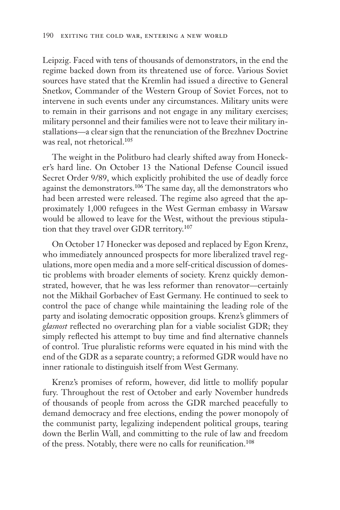Leipzig. Faced with tens of thousands of demonstrators, in the end the regime backed down from its threatened use of force. Various Soviet sources have stated that the Kremlin had issued a directive to General Snetkov, Commander of the Western Group of Soviet Forces, not to intervene in such events under any circumstances. Military units were to remain in their garrisons and not engage in any military exercises; military personnel and their families were not to leave their military installations—a clear sign that the renunciation of the Brezhnev Doctrine was real, not rhetorical.<sup>105</sup>

The weight in the Politburo had clearly shifted away from Honecker's hard line. On October 13 the National Defense Council issued Secret Order 9/89, which explicitly prohibited the use of deadly force against the demonstrators.106 The same day, all the demonstrators who had been arrested were released. The regime also agreed that the approximately 1,000 refugees in the West German embassy in Warsaw would be allowed to leave for the West, without the previous stipulation that they travel over GDR territory.<sup>107</sup>

On October 17 Honecker was deposed and replaced by Egon Krenz, who immediately announced prospects for more liberalized travel regulations, more open media and a more self-critical discussion of domestic problems with broader elements of society. Krenz quickly demonstrated, however, that he was less reformer than renovator—certainly not the Mikhail Gorbachev of East Germany. He continued to seek to control the pace of change while maintaining the leading role of the party and isolating democratic opposition groups. Krenz's glimmers of *glasnost* reflected no overarching plan for a viable socialist GDR; they simply reflected his attempt to buy time and find alternative channels of control. True pluralistic reforms were equated in his mind with the end of the GDR as a separate country; a reformed GDR would have no inner rationale to distinguish itself from West Germany.

Krenz's promises of reform, however, did little to mollify popular fury. Throughout the rest of October and early November hundreds of thousands of people from across the GDR marched peacefully to demand democracy and free elections, ending the power monopoly of the communist party, legalizing independent political groups, tearing down the Berlin Wall, and committing to the rule of law and freedom of the press. Notably, there were no calls for reunification.108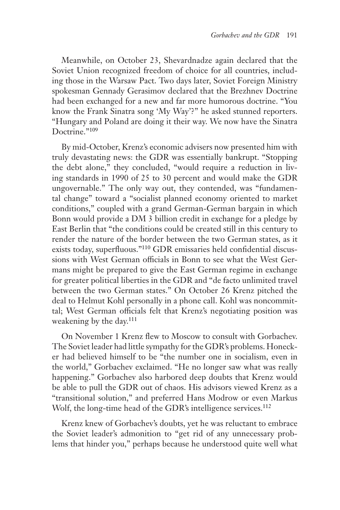Meanwhile, on October 23, Shevardnadze again declared that the Soviet Union recognized freedom of choice for all countries, including those in the Warsaw Pact. Two days later, Soviet Foreign Ministry spokesman Gennady Gerasimov declared that the Brezhnev Doctrine had been exchanged for a new and far more humorous doctrine. "You know the Frank Sinatra song 'My Way'?" he asked stunned reporters. "Hungary and Poland are doing it their way. We now have the Sinatra Doctrine."<sup>109</sup>

By mid-October, Krenz's economic advisers now presented him with truly devastating news: the GDR was essentially bankrupt. "Stopping the debt alone," they concluded, "would require a reduction in living standards in 1990 of 25 to 30 percent and would make the GDR ungovernable." The only way out, they contended, was "fundamental change" toward a "socialist planned economy oriented to market conditions," coupled with a grand German-German bargain in which Bonn would provide a DM 3 billion credit in exchange for a pledge by East Berlin that "the conditions could be created still in this century to render the nature of the border between the two German states, as it exists today, superfluous."110 GDR emissaries held confidential discussions with West German officials in Bonn to see what the West Germans might be prepared to give the East German regime in exchange for greater political liberties in the GDR and "de facto unlimited travel between the two German states." On October 26 Krenz pitched the deal to Helmut Kohl personally in a phone call. Kohl was noncommittal; West German officials felt that Krenz's negotiating position was weakening by the day.111

On November 1 Krenz flew to Moscow to consult with Gorbachev. The Soviet leader had little sympathy for the GDR's problems. Honecker had believed himself to be "the number one in socialism, even in the world," Gorbachev exclaimed. "He no longer saw what was really happening." Gorbachev also harbored deep doubts that Krenz would be able to pull the GDR out of chaos. His advisors viewed Krenz as a "transitional solution," and preferred Hans Modrow or even Markus Wolf, the long-time head of the GDR's intelligence services.<sup>112</sup>

Krenz knew of Gorbachev's doubts, yet he was reluctant to embrace the Soviet leader's admonition to "get rid of any unnecessary problems that hinder you," perhaps because he understood quite well what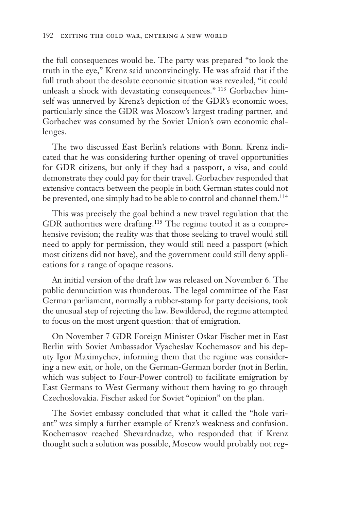the full consequences would be. The party was prepared "to look the truth in the eye," Krenz said unconvincingly. He was afraid that if the full truth about the desolate economic situation was revealed, "it could unleash a shock with devastating consequences." 113 Gorbachev himself was unnerved by Krenz's depiction of the GDR's economic woes, particularly since the GDR was Moscow's largest trading partner, and Gorbachev was consumed by the Soviet Union's own economic challenges.

The two discussed East Berlin's relations with Bonn. Krenz indicated that he was considering further opening of travel opportunities for GDR citizens, but only if they had a passport, a visa, and could demonstrate they could pay for their travel. Gorbachev responded that extensive contacts between the people in both German states could not be prevented, one simply had to be able to control and channel them.<sup>114</sup>

This was precisely the goal behind a new travel regulation that the GDR authorities were drafting.<sup>115</sup> The regime touted it as a comprehensive revision; the reality was that those seeking to travel would still need to apply for permission, they would still need a passport (which most citizens did not have), and the government could still deny applications for a range of opaque reasons.

An initial version of the draft law was released on November 6. The public denunciation was thunderous. The legal committee of the East German parliament, normally a rubber-stamp for party decisions, took the unusual step of rejecting the law. Bewildered, the regime attempted to focus on the most urgent question: that of emigration.

On November 7 GDR Foreign Minister Oskar Fischer met in East Berlin with Soviet Ambassador Vyacheslav Kochemasov and his deputy Igor Maximychev, informing them that the regime was considering a new exit, or hole, on the German-German border (not in Berlin, which was subject to Four-Power control) to facilitate emigration by East Germans to West Germany without them having to go through Czechoslovakia. Fischer asked for Soviet "opinion" on the plan.

The Soviet embassy concluded that what it called the "hole variant" was simply a further example of Krenz's weakness and confusion. Kochemasov reached Shevardnadze, who responded that if Krenz thought such a solution was possible, Moscow would probably not reg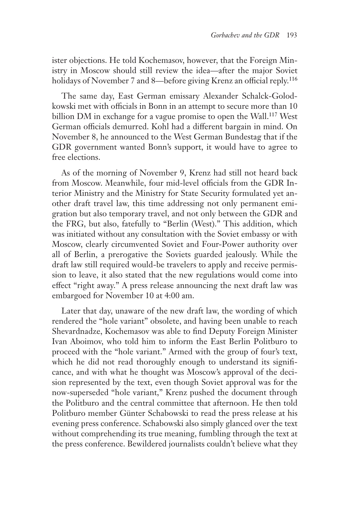ister objections. He told Kochemasov, however, that the Foreign Ministry in Moscow should still review the idea—after the major Soviet holidays of November 7 and 8—before giving Krenz an official reply.<sup>116</sup>

The same day, East German emissary Alexander Schalck-Golodkowski met with officials in Bonn in an attempt to secure more than 10 billion DM in exchange for a vague promise to open the Wall.<sup>117</sup> West German officials demurred. Kohl had a different bargain in mind. On November 8, he announced to the West German Bundestag that if the GDR government wanted Bonn's support, it would have to agree to free elections.

As of the morning of November 9, Krenz had still not heard back from Moscow. Meanwhile, four mid-level officials from the GDR Interior Ministry and the Ministry for State Security formulated yet another draft travel law, this time addressing not only permanent emigration but also temporary travel, and not only between the GDR and the FRG, but also, fatefully to "Berlin (West)." This addition, which was initiated without any consultation with the Soviet embassy or with Moscow, clearly circumvented Soviet and Four-Power authority over all of Berlin, a prerogative the Soviets guarded jealously. While the draft law still required would-be travelers to apply and receive permission to leave, it also stated that the new regulations would come into effect "right away." A press release announcing the next draft law was embargoed for November 10 at 4:00 am.

Later that day, unaware of the new draft law, the wording of which rendered the "hole variant" obsolete, and having been unable to reach Shevardnadze, Kochemasov was able to find Deputy Foreign Minister Ivan Aboimov, who told him to inform the East Berlin Politburo to proceed with the "hole variant." Armed with the group of four's text, which he did not read thoroughly enough to understand its significance, and with what he thought was Moscow's approval of the decision represented by the text, even though Soviet approval was for the now-superseded "hole variant," Krenz pushed the document through the Politburo and the central committee that afternoon. He then told Politburo member Günter Schabowski to read the press release at his evening press conference. Schabowski also simply glanced over the text without comprehending its true meaning, fumbling through the text at the press conference. Bewildered journalists couldn't believe what they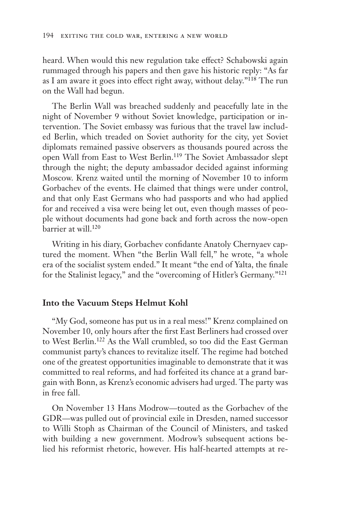heard. When would this new regulation take effect? Schabowski again rummaged through his papers and then gave his historic reply: "As far as I am aware it goes into effect right away, without delay."118 The run on the Wall had begun.

The Berlin Wall was breached suddenly and peacefully late in the night of November 9 without Soviet knowledge, participation or intervention. The Soviet embassy was furious that the travel law included Berlin, which treaded on Soviet authority for the city, yet Soviet diplomats remained passive observers as thousands poured across the open Wall from East to West Berlin.119 The Soviet Ambassador slept through the night; the deputy ambassador decided against informing Moscow. Krenz waited until the morning of November 10 to inform Gorbachev of the events. He claimed that things were under control, and that only East Germans who had passports and who had applied for and received a visa were being let out, even though masses of people without documents had gone back and forth across the now-open barrier at will.120

Writing in his diary, Gorbachev confidante Anatoly Chernyaev captured the moment. When "the Berlin Wall fell," he wrote, "a whole era of the socialist system ended." It meant "the end of Yalta, the finale for the Stalinist legacy," and the "overcoming of Hitler's Germany."121

### **Into the Vacuum Steps Helmut Kohl**

"My God, someone has put us in a real mess!" Krenz complained on November 10, only hours after the first East Berliners had crossed over to West Berlin.122 As the Wall crumbled, so too did the East German communist party's chances to revitalize itself. The regime had botched one of the greatest opportunities imaginable to demonstrate that it was committed to real reforms, and had forfeited its chance at a grand bargain with Bonn, as Krenz's economic advisers had urged. The party was in free fall.

On November 13 Hans Modrow—touted as the Gorbachev of the GDR—was pulled out of provincial exile in Dresden, named successor to Willi Stoph as Chairman of the Council of Ministers, and tasked with building a new government. Modrow's subsequent actions belied his reformist rhetoric, however. His half-hearted attempts at re-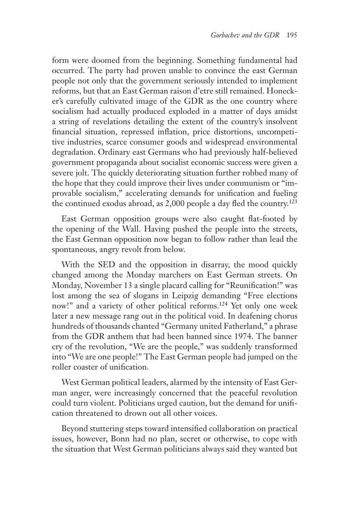form were doomed from the beginning. Something fundamental had occurred. The party had proven unable to convince the east German people not only that the government seriously intended to implement reforms, but that an East German raison d'etre still remained. Honecker's carefully cultivated image of the GDR as the one country where socialism had actually produced exploded in a matter of days amidst a string of revelations detailing the extent of the country's insolvent financial situation, repressed inflation, price distortions, uncompetitive industries, scarce consumer goods and widespread environmental degradation. Ordinary east Germans who had previously half-believed government propaganda about socialist economic success were given a severe jolt. The quickly deteriorating situation further robbed many of the hope that they could improve their lives under communism or "improvable socialism," accelerating demands for unification and fueling the continued exodus abroad, as 2,000 people a day fled the country.123

East German opposition groups were also caught flat-footed by the opening of the Wall. Having pushed the people into the streets, the East German opposition now began to follow rather than lead the spontaneous, angry revolt from below.

With the SED and the opposition in disarray, the mood quickly changed among the Monday marchers on East German streets. On Monday, November 13 a single placard calling for "Reunification!" was lost among the sea of slogans in Leipzig demanding "Free elections now!" and a variety of other political reforms.124 Yet only one week later a new message rang out in the political void. In deafening chorus hundreds of thousands chanted "Germany united Fatherland," a phrase from the GDR anthem that had been banned since 1974. The banner cry of the revolution, "We are the people," was suddenly transformed into "We are one people!" The East German people had jumped on the roller coaster of unification.

West German political leaders, alarmed by the intensity of East German anger, were increasingly concerned that the peaceful revolution could turn violent. Politicians urged caution, but the demand for unification threatened to drown out all other voices.

Beyond stuttering steps toward intensified collaboration on practical issues, however, Bonn had no plan, secret or otherwise, to cope with the situation that West German politicians always said they wanted but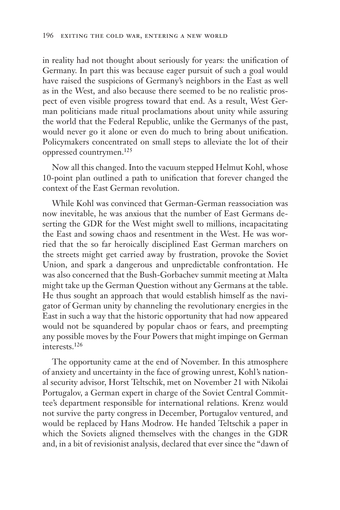in reality had not thought about seriously for years: the unification of Germany. In part this was because eager pursuit of such a goal would have raised the suspicions of Germany's neighbors in the East as well as in the West, and also because there seemed to be no realistic prospect of even visible progress toward that end. As a result, West German politicians made ritual proclamations about unity while assuring the world that the Federal Republic, unlike the Germanys of the past, would never go it alone or even do much to bring about unification. Policymakers concentrated on small steps to alleviate the lot of their oppressed countrymen.125

Now all this changed. Into the vacuum stepped Helmut Kohl, whose 10-point plan outlined a path to unification that forever changed the context of the East German revolution.

While Kohl was convinced that German-German reassociation was now inevitable, he was anxious that the number of East Germans deserting the GDR for the West might swell to millions, incapacitating the East and sowing chaos and resentment in the West. He was worried that the so far heroically disciplined East German marchers on the streets might get carried away by frustration, provoke the Soviet Union, and spark a dangerous and unpredictable confrontation. He was also concerned that the Bush-Gorbachev summit meeting at Malta might take up the German Question without any Germans at the table. He thus sought an approach that would establish himself as the navigator of German unity by channeling the revolutionary energies in the East in such a way that the historic opportunity that had now appeared would not be squandered by popular chaos or fears, and preempting any possible moves by the Four Powers that might impinge on German interests.126

The opportunity came at the end of November. In this atmosphere of anxiety and uncertainty in the face of growing unrest, Kohl's national security advisor, Horst Teltschik, met on November 21 with Nikolai Portugalov, a German expert in charge of the Soviet Central Committee's department responsible for international relations. Krenz would not survive the party congress in December, Portugalov ventured, and would be replaced by Hans Modrow. He handed Teltschik a paper in which the Soviets aligned themselves with the changes in the GDR and, in a bit of revisionist analysis, declared that ever since the "dawn of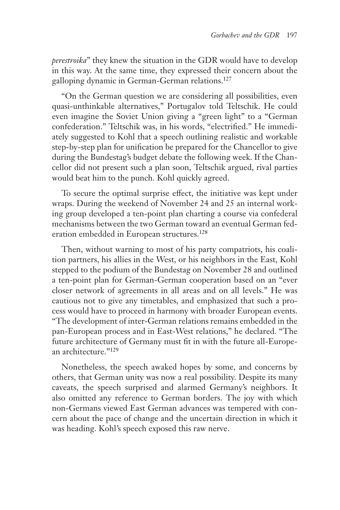*perestroika*" they knew the situation in the GDR would have to develop in this way. At the same time, they expressed their concern about the galloping dynamic in German-German relations.<sup>127</sup>

"On the German question we are considering all possibilities, even quasi-unthinkable alternatives," Portugalov told Teltschik. He could even imagine the Soviet Union giving a "green light" to a "German confederation." Teltschik was, in his words, "electrified." He immediately suggested to Kohl that a speech outlining realistic and workable step-by-step plan for unification be prepared for the Chancellor to give during the Bundestag's budget debate the following week. If the Chancellor did not present such a plan soon, Teltschik argued, rival parties would beat him to the punch. Kohl quickly agreed.

To secure the optimal surprise effect, the initiative was kept under wraps. During the weekend of November 24 and 25 an internal working group developed a ten-point plan charting a course via confederal mechanisms between the two German toward an eventual German federation embedded in European structures.<sup>128</sup>

Then, without warning to most of his party compatriots, his coalition partners, his allies in the West, or his neighbors in the East, Kohl stepped to the podium of the Bundestag on November 28 and outlined a ten-point plan for German-German cooperation based on an "ever closer network of agreements in all areas and on all levels." He was cautious not to give any timetables, and emphasized that such a process would have to proceed in harmony with broader European events. "The development of inter-German relations remains embedded in the pan-European process and in East-West relations," he declared. "The future architecture of Germany must fit in with the future all-European architecture."129

Nonetheless, the speech awaked hopes by some, and concerns by others, that German unity was now a real possibility. Despite its many caveats, the speech surprised and alarmed Germany's neighbors. It also omitted any reference to German borders. The joy with which non-Germans viewed East German advances was tempered with concern about the pace of change and the uncertain direction in which it was heading. Kohl's speech exposed this raw nerve.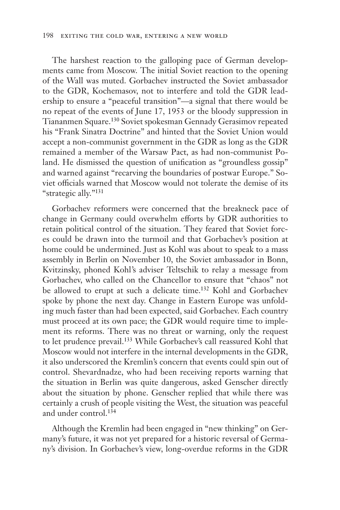The harshest reaction to the galloping pace of German developments came from Moscow. The initial Soviet reaction to the opening of the Wall was muted. Gorbachev instructed the Soviet ambassador to the GDR, Kochemasov, not to interfere and told the GDR leadership to ensure a "peaceful transition"—a signal that there would be no repeat of the events of June 17, 1953 or the bloody suppression in Tiananmen Square.130 Soviet spokesman Gennady Gerasimov repeated his "Frank Sinatra Doctrine" and hinted that the Soviet Union would accept a non-communist government in the GDR as long as the GDR remained a member of the Warsaw Pact, as had non-communist Poland. He dismissed the question of unification as "groundless gossip" and warned against "recarving the boundaries of postwar Europe." Soviet officials warned that Moscow would not tolerate the demise of its "strategic ally."131

Gorbachev reformers were concerned that the breakneck pace of change in Germany could overwhelm efforts by GDR authorities to retain political control of the situation. They feared that Soviet forces could be drawn into the turmoil and that Gorbachev's position at home could be undermined. Just as Kohl was about to speak to a mass assembly in Berlin on November 10, the Soviet ambassador in Bonn, Kvitzinsky, phoned Kohl's adviser Teltschik to relay a message from Gorbachev, who called on the Chancellor to ensure that "chaos" not be allowed to erupt at such a delicate time.132 Kohl and Gorbachev spoke by phone the next day. Change in Eastern Europe was unfolding much faster than had been expected, said Gorbachev. Each country must proceed at its own pace; the GDR would require time to implement its reforms. There was no threat or warning, only the request to let prudence prevail.133 While Gorbachev's call reassured Kohl that Moscow would not interfere in the internal developments in the GDR, it also underscored the Kremlin's concern that events could spin out of control. Shevardnadze, who had been receiving reports warning that the situation in Berlin was quite dangerous, asked Genscher directly about the situation by phone. Genscher replied that while there was certainly a crush of people visiting the West, the situation was peaceful and under control.134

Although the Kremlin had been engaged in "new thinking" on Germany's future, it was not yet prepared for a historic reversal of Germany's division. In Gorbachev's view, long-overdue reforms in the GDR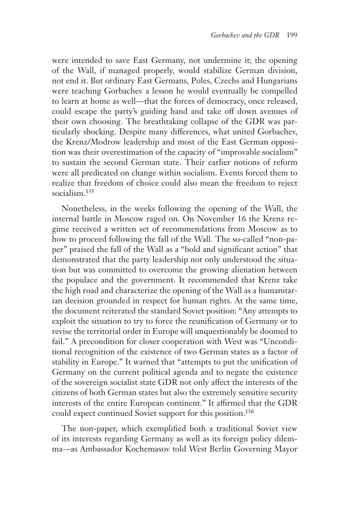were intended to save East Germany, not undermine it; the opening of the Wall, if managed properly, would stabilize German division, not end it. But ordinary East Germans, Poles, Czechs and Hungarians were teaching Gorbachev a lesson he would eventually be compelled to learn at home as well—that the forces of democracy, once released, could escape the party's guiding hand and take off down avenues of their own choosing. The breathtaking collapse of the GDR was particularly shocking. Despite many differences, what united Gorbachev, the Krenz/Modrow leadership and most of the East German opposition was their overestimation of the capacity of "improvable socialism" to sustain the second German state. Their earlier notions of reform were all predicated on change within socialism. Events forced them to realize that freedom of choice could also mean the freedom to reject socialism.135

Nonetheless, in the weeks following the opening of the Wall, the internal battle in Moscow raged on. On November 16 the Krenz regime received a written set of recommendations from Moscow as to how to proceed following the fall of the Wall. The so-called "non-paper" praised the fall of the Wall as a "bold and significant action" that demonstrated that the party leadership not only understood the situation but was committed to overcome the growing alienation between the populace and the government. It recommended that Krenz take the high road and characterize the opening of the Wall as a humanitarian decision grounded in respect for human rights. At the same time, the document reiterated the standard Soviet position: "Any attempts to exploit the situation to try to force the reunification of Germany or to revise the territorial order in Europe will unquestionably be doomed to fail." A precondition for closer cooperation with West was "Unconditional recognition of the existence of two German states as a factor of stability in Europe." It warned that "attempts to put the unification of Germany on the current political agenda and to negate the existence of the sovereign socialist state GDR not only affect the interests of the citizens of both German states but also the extremely sensitive security interests of the entire European continent." It affirmed that the GDR could expect continued Soviet support for this position.136

The non-paper, which exemplified both a traditional Soviet view of its interests regarding Germany as well as its foreign policy dilemma—as Ambassador Kochemasov told West Berlin Governing Mayor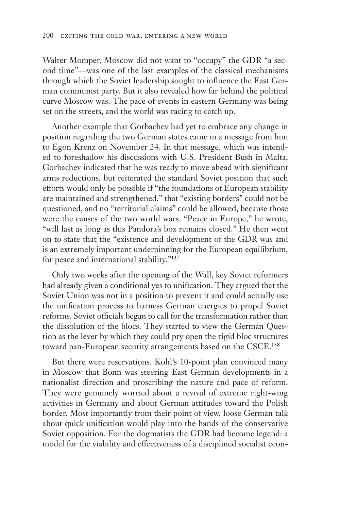Walter Momper, Moscow did not want to "occupy" the GDR "a second time"—was one of the last examples of the classical mechanisms through which the Soviet leadership sought to influence the East German communist party. But it also revealed how far behind the political curve Moscow was. The pace of events in eastern Germany was being set on the streets, and the world was racing to catch up.

Another example that Gorbachev had yet to embrace any change in position regarding the two German states came in a message from him to Egon Krenz on November 24. In that message, which was intended to foreshadow his discussions with U.S. President Bush in Malta, Gorbachev indicated that he was ready to move ahead with significant arms reductions, but reiterated the standard Soviet position that such efforts would only be possible if "the foundations of European stability are maintained and strengthened," that "existing borders" could not be questioned, and no "territorial claims" could be allowed, because those were the causes of the two world wars. "Peace in Europe," he wrote, "will last as long as this Pandora's box remains closed." He then went on to state that the "existence and development of the GDR was and is an extremely important underpinning for the European equilibrium, for peace and international stability."137

Only two weeks after the opening of the Wall, key Soviet reformers had already given a conditional yes to unification. They argued that the Soviet Union was not in a position to prevent it and could actually use the unification process to harness German energies to propel Soviet reforms. Soviet officials began to call for the transformation rather than the dissolution of the blocs. They started to view the German Question as the lever by which they could pry open the rigid bloc structures toward pan-European security arrangements based on the CSCE.<sup>138</sup>

But there were reservations. Kohl's 10-point plan convinced many in Moscow that Bonn was steering East German developments in a nationalist direction and proscribing the nature and pace of reform. They were genuinely worried about a revival of extreme right-wing activities in Germany and about German attitudes toward the Polish border. Most importantly from their point of view, loose German talk about quick unification would play into the hands of the conservative Soviet opposition. For the dogmatists the GDR had become legend: a model for the viability and effectiveness of a disciplined socialist econ-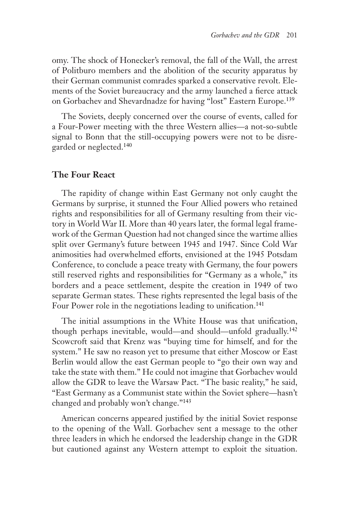omy. The shock of Honecker's removal, the fall of the Wall, the arrest of Politburo members and the abolition of the security apparatus by their German communist comrades sparked a conservative revolt. Elements of the Soviet bureaucracy and the army launched a fierce attack on Gorbachev and Shevardnadze for having "lost" Eastern Europe.139

The Soviets, deeply concerned over the course of events, called for a Four-Power meeting with the three Western allies—a not-so-subtle signal to Bonn that the still-occupying powers were not to be disregarded or neglected.140

## **The Four React**

The rapidity of change within East Germany not only caught the Germans by surprise, it stunned the Four Allied powers who retained rights and responsibilities for all of Germany resulting from their victory in World War II. More than 40 years later, the formal legal framework of the German Question had not changed since the wartime allies split over Germany's future between 1945 and 1947. Since Cold War animosities had overwhelmed efforts, envisioned at the 1945 Potsdam Conference, to conclude a peace treaty with Germany, the four powers still reserved rights and responsibilities for "Germany as a whole," its borders and a peace settlement, despite the creation in 1949 of two separate German states. These rights represented the legal basis of the Four Power role in the negotiations leading to unification.<sup>141</sup>

The initial assumptions in the White House was that unification, though perhaps inevitable, would—and should—unfold gradually.142 Scowcroft said that Krenz was "buying time for himself, and for the system." He saw no reason yet to presume that either Moscow or East Berlin would allow the east German people to "go their own way and take the state with them." He could not imagine that Gorbachev would allow the GDR to leave the Warsaw Pact. "The basic reality," he said, "East Germany as a Communist state within the Soviet sphere—hasn't changed and probably won't change."143

American concerns appeared justified by the initial Soviet response to the opening of the Wall. Gorbachev sent a message to the other three leaders in which he endorsed the leadership change in the GDR but cautioned against any Western attempt to exploit the situation.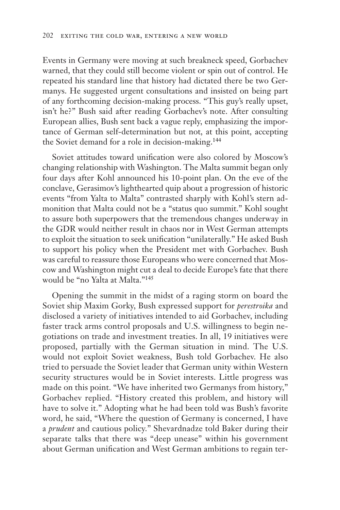Events in Germany were moving at such breakneck speed, Gorbachev warned, that they could still become violent or spin out of control. He repeated his standard line that history had dictated there be two Germanys. He suggested urgent consultations and insisted on being part of any forthcoming decision-making process. "This guy's really upset, isn't he?" Bush said after reading Gorbachev's note. After consulting European allies, Bush sent back a vague reply, emphasizing the importance of German self-determination but not, at this point, accepting the Soviet demand for a role in decision-making.144

Soviet attitudes toward unification were also colored by Moscow's changing relationship with Washington. The Malta summit began only four days after Kohl announced his 10-point plan. On the eve of the conclave, Gerasimov's lighthearted quip about a progression of historic events "from Yalta to Malta" contrasted sharply with Kohl's stern admonition that Malta could not be a "status quo summit." Kohl sought to assure both superpowers that the tremendous changes underway in the GDR would neither result in chaos nor in West German attempts to exploit the situation to seek unification "unilaterally." He asked Bush to support his policy when the President met with Gorbachev. Bush was careful to reassure those Europeans who were concerned that Moscow and Washington might cut a deal to decide Europe's fate that there would be "no Yalta at Malta."145

Opening the summit in the midst of a raging storm on board the Soviet ship Maxim Gorky, Bush expressed support for *perestroika* and disclosed a variety of initiatives intended to aid Gorbachev, including faster track arms control proposals and U.S. willingness to begin negotiations on trade and investment treaties. In all, 19 initiatives were proposed, partially with the German situation in mind. The U.S. would not exploit Soviet weakness, Bush told Gorbachev. He also tried to persuade the Soviet leader that German unity within Western security structures would be in Soviet interests. Little progress was made on this point. "We have inherited two Germanys from history," Gorbachev replied. "History created this problem, and history will have to solve it." Adopting what he had been told was Bush's favorite word, he said, "Where the question of Germany is concerned, I have a *prudent* and cautious policy." Shevardnadze told Baker during their separate talks that there was "deep unease" within his government about German unification and West German ambitions to regain ter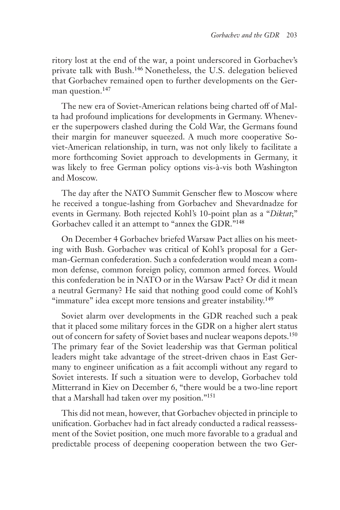ritory lost at the end of the war, a point underscored in Gorbachev's private talk with Bush.146 Nonetheless, the U.S. delegation believed that Gorbachev remained open to further developments on the German question.<sup>147</sup>

The new era of Soviet-American relations being charted off of Malta had profound implications for developments in Germany. Whenever the superpowers clashed during the Cold War, the Germans found their margin for maneuver squeezed. A much more cooperative Soviet-American relationship, in turn, was not only likely to facilitate a more forthcoming Soviet approach to developments in Germany, it was likely to free German policy options vis-à-vis both Washington and Moscow.

The day after the NATO Summit Genscher flew to Moscow where he received a tongue-lashing from Gorbachev and Shevardnadze for events in Germany. Both rejected Kohl's 10-point plan as a "*Diktat*;" Gorbachev called it an attempt to "annex the GDR."148

On December 4 Gorbachev briefed Warsaw Pact allies on his meeting with Bush. Gorbachev was critical of Kohl's proposal for a German-German confederation. Such a confederation would mean a common defense, common foreign policy, common armed forces. Would this confederation be in NATO or in the Warsaw Pact? Or did it mean a neutral Germany? He said that nothing good could come of Kohl's "immature" idea except more tensions and greater instability.<sup>149</sup>

Soviet alarm over developments in the GDR reached such a peak that it placed some military forces in the GDR on a higher alert status out of concern for safety of Soviet bases and nuclear weapons depots.150 The primary fear of the Soviet leadership was that German political leaders might take advantage of the street-driven chaos in East Germany to engineer unification as a fait accompli without any regard to Soviet interests. If such a situation were to develop, Gorbachev told Mitterrand in Kiev on December 6, "there would be a two-line report that a Marshall had taken over my position."151

This did not mean, however, that Gorbachev objected in principle to unification. Gorbachev had in fact already conducted a radical reassessment of the Soviet position, one much more favorable to a gradual and predictable process of deepening cooperation between the two Ger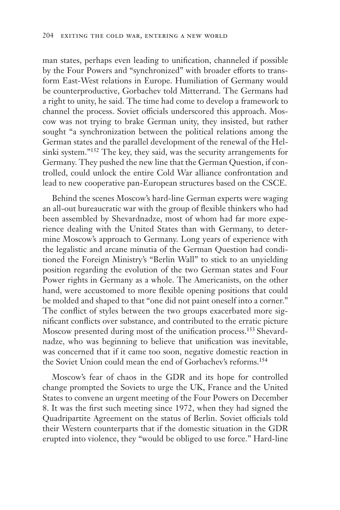man states, perhaps even leading to unification, channeled if possible by the Four Powers and "synchronized" with broader efforts to transform East-West relations in Europe. Humiliation of Germany would be counterproductive, Gorbachev told Mitterrand. The Germans had a right to unity, he said. The time had come to develop a framework to channel the process. Soviet officials underscored this approach. Moscow was not trying to brake German unity, they insisted, but rather sought "a synchronization between the political relations among the German states and the parallel development of the renewal of the Helsinki system."152 The key, they said, was the security arrangements for Germany. They pushed the new line that the German Question, if controlled, could unlock the entire Cold War alliance confrontation and lead to new cooperative pan-European structures based on the CSCE.

Behind the scenes Moscow's hard-line German experts were waging an all-out bureaucratic war with the group of flexible thinkers who had been assembled by Shevardnadze, most of whom had far more experience dealing with the United States than with Germany, to determine Moscow's approach to Germany. Long years of experience with the legalistic and arcane minutia of the German Question had conditioned the Foreign Ministry's "Berlin Wall" to stick to an unyielding position regarding the evolution of the two German states and Four Power rights in Germany as a whole. The Americanists, on the other hand, were accustomed to more flexible opening positions that could be molded and shaped to that "one did not paint oneself into a corner." The conflict of styles between the two groups exacerbated more significant conflicts over substance, and contributed to the erratic picture Moscow presented during most of the unification process.153 Shevardnadze, who was beginning to believe that unification was inevitable, was concerned that if it came too soon, negative domestic reaction in the Soviet Union could mean the end of Gorbachev's reforms.154

Moscow's fear of chaos in the GDR and its hope for controlled change prompted the Soviets to urge the UK, France and the United States to convene an urgent meeting of the Four Powers on December 8. It was the first such meeting since 1972, when they had signed the Quadripartite Agreement on the status of Berlin. Soviet officials told their Western counterparts that if the domestic situation in the GDR erupted into violence, they "would be obliged to use force." Hard-line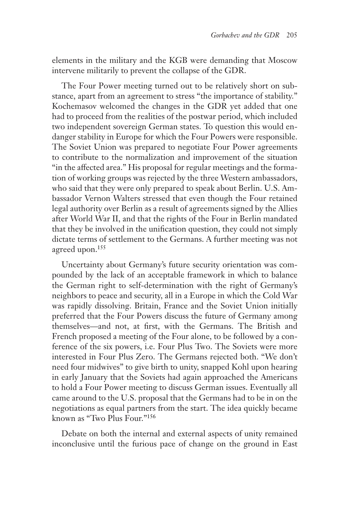elements in the military and the KGB were demanding that Moscow intervene militarily to prevent the collapse of the GDR.

The Four Power meeting turned out to be relatively short on substance, apart from an agreement to stress "the importance of stability." Kochemasov welcomed the changes in the GDR yet added that one had to proceed from the realities of the postwar period, which included two independent sovereign German states. To question this would endanger stability in Europe for which the Four Powers were responsible. The Soviet Union was prepared to negotiate Four Power agreements to contribute to the normalization and improvement of the situation "in the affected area." His proposal for regular meetings and the formation of working groups was rejected by the three Western ambassadors, who said that they were only prepared to speak about Berlin. U.S. Ambassador Vernon Walters stressed that even though the Four retained legal authority over Berlin as a result of agreements signed by the Allies after World War II, and that the rights of the Four in Berlin mandated that they be involved in the unification question, they could not simply dictate terms of settlement to the Germans. A further meeting was not agreed upon.155

Uncertainty about Germany's future security orientation was compounded by the lack of an acceptable framework in which to balance the German right to self-determination with the right of Germany's neighbors to peace and security, all in a Europe in which the Cold War was rapidly dissolving. Britain, France and the Soviet Union initially preferred that the Four Powers discuss the future of Germany among themselves—and not, at first, with the Germans. The British and French proposed a meeting of the Four alone, to be followed by a conference of the six powers, i.e. Four Plus Two. The Soviets were more interested in Four Plus Zero. The Germans rejected both. "We don't need four midwives" to give birth to unity, snapped Kohl upon hearing in early January that the Soviets had again approached the Americans to hold a Four Power meeting to discuss German issues. Eventually all came around to the U.S. proposal that the Germans had to be in on the negotiations as equal partners from the start. The idea quickly became known as "Two Plus Four."156

Debate on both the internal and external aspects of unity remained inconclusive until the furious pace of change on the ground in East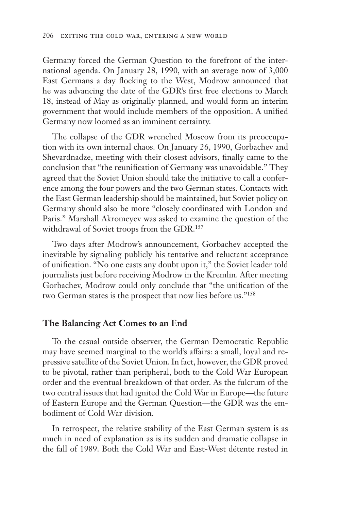Germany forced the German Question to the forefront of the international agenda. On January 28, 1990, with an average now of 3,000 East Germans a day flocking to the West, Modrow announced that he was advancing the date of the GDR's first free elections to March 18, instead of May as originally planned, and would form an interim government that would include members of the opposition. A unified Germany now loomed as an imminent certainty.

The collapse of the GDR wrenched Moscow from its preoccupation with its own internal chaos. On January 26, 1990, Gorbachev and Shevardnadze, meeting with their closest advisors, finally came to the conclusion that "the reunification of Germany was unavoidable." They agreed that the Soviet Union should take the initiative to call a conference among the four powers and the two German states. Contacts with the East German leadership should be maintained, but Soviet policy on Germany should also be more "closely coordinated with London and Paris." Marshall Akromeyev was asked to examine the question of the withdrawal of Soviet troops from the GDR.157

Two days after Modrow's announcement, Gorbachev accepted the inevitable by signaling publicly his tentative and reluctant acceptance of unification. "No one casts any doubt upon it," the Soviet leader told journalists just before receiving Modrow in the Kremlin. After meeting Gorbachev, Modrow could only conclude that "the unification of the two German states is the prospect that now lies before us."158

## **The Balancing Act Comes to an End**

To the casual outside observer, the German Democratic Republic may have seemed marginal to the world's affairs: a small, loyal and repressive satellite of the Soviet Union. In fact, however, the GDR proved to be pivotal, rather than peripheral, both to the Cold War European order and the eventual breakdown of that order. As the fulcrum of the two central issues that had ignited the Cold War in Europe—the future of Eastern Europe and the German Question—the GDR was the embodiment of Cold War division.

In retrospect, the relative stability of the East German system is as much in need of explanation as is its sudden and dramatic collapse in the fall of 1989. Both the Cold War and East-West détente rested in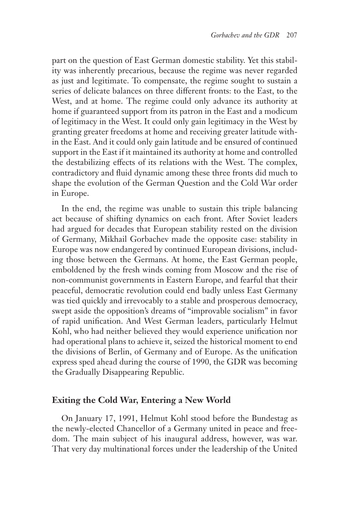part on the question of East German domestic stability. Yet this stability was inherently precarious, because the regime was never regarded as just and legitimate. To compensate, the regime sought to sustain a series of delicate balances on three different fronts: to the East, to the West, and at home. The regime could only advance its authority at home if guaranteed support from its patron in the East and a modicum of legitimacy in the West. It could only gain legitimacy in the West by granting greater freedoms at home and receiving greater latitude within the East. And it could only gain latitude and be ensured of continued support in the East if it maintained its authority at home and controlled the destabilizing effects of its relations with the West. The complex, contradictory and fluid dynamic among these three fronts did much to shape the evolution of the German Question and the Cold War order in Europe.

In the end, the regime was unable to sustain this triple balancing act because of shifting dynamics on each front. After Soviet leaders had argued for decades that European stability rested on the division of Germany, Mikhail Gorbachev made the opposite case: stability in Europe was now endangered by continued European divisions, including those between the Germans. At home, the East German people, emboldened by the fresh winds coming from Moscow and the rise of non-communist governments in Eastern Europe, and fearful that their peaceful, democratic revolution could end badly unless East Germany was tied quickly and irrevocably to a stable and prosperous democracy, swept aside the opposition's dreams of "improvable socialism" in favor of rapid unification. And West German leaders, particularly Helmut Kohl, who had neither believed they would experience unification nor had operational plans to achieve it, seized the historical moment to end the divisions of Berlin, of Germany and of Europe. As the unification express sped ahead during the course of 1990, the GDR was becoming the Gradually Disappearing Republic.

## **Exiting the Cold War, Entering a New World**

On January 17, 1991, Helmut Kohl stood before the Bundestag as the newly-elected Chancellor of a Germany united in peace and freedom. The main subject of his inaugural address, however, was war. That very day multinational forces under the leadership of the United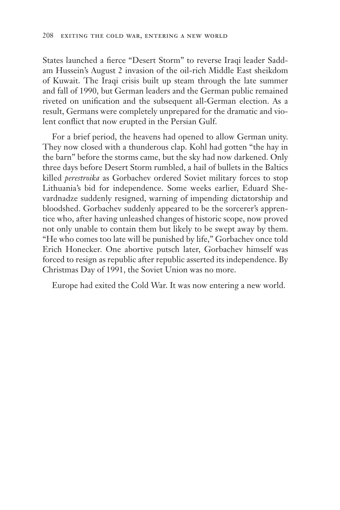States launched a fierce "Desert Storm" to reverse Iraqi leader Saddam Hussein's August 2 invasion of the oil-rich Middle East sheikdom of Kuwait. The Iraqi crisis built up steam through the late summer and fall of 1990, but German leaders and the German public remained riveted on unification and the subsequent all-German election. As a result, Germans were completely unprepared for the dramatic and violent conflict that now erupted in the Persian Gulf.

For a brief period, the heavens had opened to allow German unity. They now closed with a thunderous clap. Kohl had gotten "the hay in the barn" before the storms came, but the sky had now darkened. Only three days before Desert Storm rumbled, a hail of bullets in the Baltics killed *perestroika* as Gorbachev ordered Soviet military forces to stop Lithuania's bid for independence. Some weeks earlier, Eduard Shevardnadze suddenly resigned, warning of impending dictatorship and bloodshed. Gorbachev suddenly appeared to be the sorcerer's apprentice who, after having unleashed changes of historic scope, now proved not only unable to contain them but likely to be swept away by them. "He who comes too late will be punished by life," Gorbachev once told Erich Honecker. One abortive putsch later, Gorbachev himself was forced to resign as republic after republic asserted its independence. By Christmas Day of 1991, the Soviet Union was no more.

Europe had exited the Cold War. It was now entering a new world.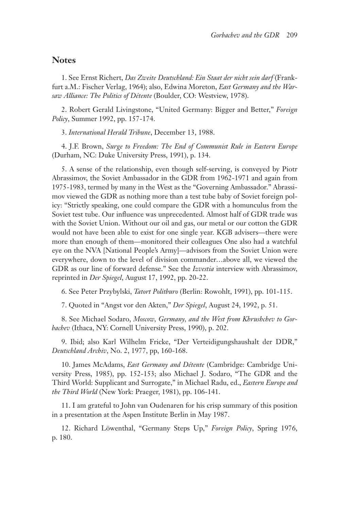## **Notes**

1. See Ernst Richert, *Das Zweite Deutschland: Ein Staat der nicht sein darf* (Frankfurt a.M.: Fischer Verlag, 1964); also, Edwina Moreton, *East Germany and the Warsaw Alliance: The Politics of Détente* (Boulder, CO: Westview, 1978).

2. Robert Gerald Livingstone, "United Germany: Bigger and Better," *Foreign Policy*, Summer 1992, pp. 157-174.

3. *International Herald Tribune*, December 13, 1988.

4. J.F. Brown, *Surge to Freedom: The End of Communist Rule in Eastern Europe* (Durham, NC: Duke University Press, 1991), p. 134.

5. A sense of the relationship, even though self-serving, is conveyed by Piotr Abrassimov, the Soviet Ambassador in the GDR from 1962-1971 and again from 1975-1983, termed by many in the West as the "Governing Ambassador." Abrassimov viewed the GDR as nothing more than a test tube baby of Soviet foreign policy: "Strictly speaking, one could compare the GDR with a homunculus from the Soviet test tube. Our influence was unprecedented. Almost half of GDR trade was with the Soviet Union. Without our oil and gas, our metal or our cotton the GDR would not have been able to exist for one single year. KGB advisers—there were more than enough of them—monitored their colleagues One also had a watchful eye on the NVA [National People's Army]—advisors from the Soviet Union were everywhere, down to the level of division commander…above all, we viewed the GDR as our line of forward defense." See the *Izvestia* interview with Abrassimov, reprinted in *Der Spiegel*, August 17, 1992, pp. 20-22.

6. See Peter Przybylski, *Tatort Politburo* (Berlin: Rowohlt, 1991), pp. 101-115.

7. Quoted in "Angst vor den Akten," *Der Spiegel*, August 24, 1992, p. 51.

8. See Michael Sodaro, *Moscow, Germany, and the West from Khrushchev to Gorbachev* (Ithaca, NY: Cornell University Press, 1990), p. 202.

9. Ibid; also Karl Wilhelm Fricke, "Der Verteidigungshaushalt der DDR," *Deutschland Archiv*, No. 2, 1977, pp, 160-168.

10. James McAdams, *East Germany and Détente* (Cambridge: Cambridge University Press, 1985), pp. 152-153; also Michael J. Sodaro, "The GDR and the Third World: Supplicant and Surrogate," in Michael Radu, ed., *Eastern Europe and the Third World* (New York: Praeger, 1981), pp. 106-141.

11. I am grateful to John van Oudenaren for his crisp summary of this position in a presentation at the Aspen Institute Berlin in May 1987.

12. Richard Löwenthal, "Germany Steps Up," *Foreign Policy*, Spring 1976, p. 180.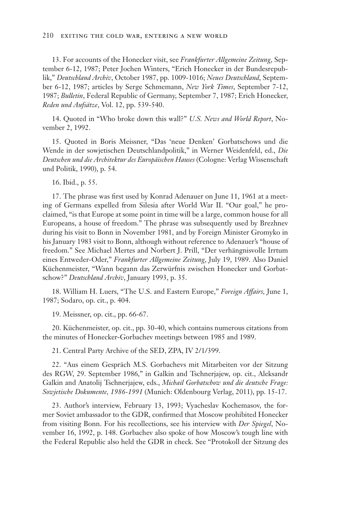13. For accounts of the Honecker visit, see *Frankfurter Allgemeine Zeitung*, September 6-12, 1987; Peter Jochen Winters, "Erich Honecker in der Bundesrepublik," *Deutschland Archiv*, October 1987, pp. 1009-1016; *Neues Deutschland*, September 6-12, 1987; articles by Serge Schmemann, *New York Times*, September 7-12, 1987; *Bulletin*, Federal Republic of Germany, September 7, 1987; Erich Honecker, *Reden und Aufsätze*, Vol. 12, pp. 539-540.

14. Quoted in "Who broke down this wall?" *U.S. News and World Report*, November 2, 1992.

15. Quoted in Boris Meissner, "Das 'neue Denken' Gorbatschows und die Wende in der sowjetischen Deutschlandpolitik," in Werner Weidenfeld, ed., *Die Deutschen und die Architektur des Europäischen Hauses* (Cologne: Verlag Wissenschaft und Politik, 1990), p. 54.

16. Ibid., p. 55.

17. The phrase was first used by Konrad Adenauer on June 11, 1961 at a meeting of Germans expelled from Silesia after World War II. "Our goal," he proclaimed, "is that Europe at some point in time will be a large, common house for all Europeans, a house of freedom." The phrase was subsequently used by Brezhnev during his visit to Bonn in November 1981, and by Foreign Minister Gromyko in his January 1983 visit to Bonn, although without reference to Adenauer's "house of freedom." See Michael Mertes and Norbert J. Prill, "Der verhängnisvolle Irrtum eines Entweder-Oder," *Frankfurter Allgemeine Zeitung*, July 19, 1989. Also Daniel Küchenmeister, "Wann begann das Zerwürfnis zwischen Honecker und Gorbatschow?" *Deutschland Archiv*, January 1993, p. 35.

18. William H. Luers, "The U.S. and Eastern Europe," *Foreign Affairs,* June 1, 1987; Sodaro, op. cit., p. 404.

19. Meissner, op. cit., pp. 66-67.

20. Küchenmeister, op. cit., pp. 30-40, which contains numerous citations from the minutes of Honecker-Gorbachev meetings between 1985 and 1989.

21. Central Party Archive of the SED, ZPA, IV 2/1/399.

22. "Aus einem Gespräch M.S. Gorbachevs mit Mitarbeiten vor der Sitzung des RGW, 29. September 1986," in Galkin and Tschnerjajew, op. cit., Aleksandr Galkin and Anatolij Tschnerjajew, eds., *Michail Gorbatschow und die deutsche Frage: Sowjetische Dokumente, 1986-1991* (Munich: Oldenbourg Verlag, 2011), pp. 15-17.

23. Author's interview, February 13, 1993; Vyacheslav Kochemasov, the former Soviet ambassador to the GDR, confirmed that Moscow prohibited Honecker from visiting Bonn. For his recollections, see his interview with *Der Spiegel*, November 16, 1992, p. 148. Gorbachev also spoke of how Moscow's tough line with the Federal Republic also held the GDR in check. See "Protokoll der Sitzung des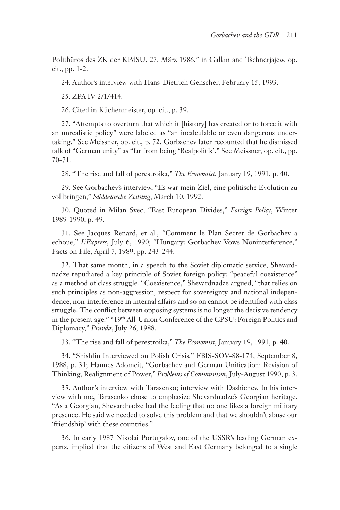Politbüros des ZK der KPdSU, 27. März 1986," in Galkin and Tschnerjajew, op. cit., pp. 1-2.

24. Author's interview with Hans-Dietrich Genscher, February 15, 1993.

25. ZPA IV 2/1/414.

26. Cited in Küchenmeister, op. cit., p. 39.

27. "Attempts to overturn that which it [history] has created or to force it with an unrealistic policy" were labeled as "an incalculable or even dangerous undertaking." See Meissner, op. cit., p. 72. Gorbachev later recounted that he dismissed talk of "German unity" as "far from being 'Realpolitik'." See Meissner, op. cit., pp. 70-71.

28. "The rise and fall of perestroika," *The Economist*, January 19, 1991, p. 40.

29. See Gorbachev's interview, "Es war mein Ziel, eine politische Evolution zu vollbringen," *Süddeutsche Zeitung*, March 10, 1992.

30. Quoted in Milan Svec, "East European Divides," *Foreign Policy*, Winter 1989-1990, p. 49.

31. See Jacques Renard, et al., "Comment le Plan Secret de Gorbachev a echoue," *L'Express*, July 6, 1990; "Hungary: Gorbachev Vows Noninterference," Facts on File, April 7, 1989, pp. 243-244.

32. That same month, in a speech to the Soviet diplomatic service, Shevardnadze repudiated a key principle of Soviet foreign policy: "peaceful coexistence" as a method of class struggle. "Coexistence," Shevardnadze argued, "that relies on such principles as non-aggression, respect for sovereignty and national independence, non-interference in internal affairs and so on cannot be identified with class struggle. The conflict between opposing systems is no longer the decisive tendency in the present age." "19th All-Union Conference of the CPSU: Foreign Politics and Diplomacy," *Pravda*, July 26, 1988.

33. "The rise and fall of perestroika," *The Economist*, January 19, 1991, p. 40.

34. "Shishlin Interviewed on Polish Crisis," FBIS-SOV-88-174, September 8, 1988, p. 31; Hannes Adomeit, "Gorbachev and German Unification: Revision of Thinking, Realignment of Power," *Problems of Communism*, July-August 1990, p. 3.

35. Author's interview with Tarasenko; interview with Dashichev. In his interview with me, Tarasenko chose to emphasize Shevardnadze's Georgian heritage. "As a Georgian, Shevardnadze had the feeling that no one likes a foreign military presence. He said we needed to solve this problem and that we shouldn't abuse our 'friendship' with these countries."

36. In early 1987 Nikolai Portugalov, one of the USSR's leading German experts, implied that the citizens of West and East Germany belonged to a single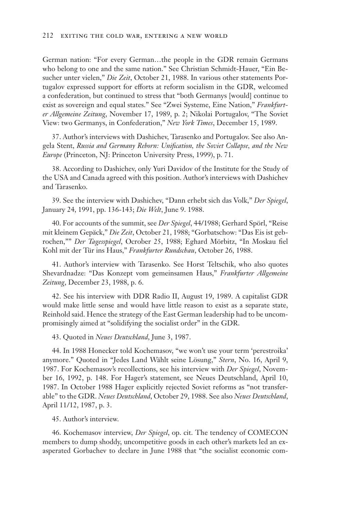German nation: "For every German…the people in the GDR remain Germans who belong to one and the same nation." See Christian Schmidt-Hauer, "Ein Besucher unter vielen," *Die Zeit*, October 21, 1988. In various other statements Portugalov expressed support for efforts at reform socialism in the GDR, welcomed a confederation, but continued to stress that "both Germanys [would] continue to exist as sovereign and equal states." See "Zwei Systeme, Eine Nation," *Frankfurter Allgemeine Zeitung*, November 17, 1989, p. 2; Nikolai Portugalov, "The Soviet View: two Germanys, in Confederation," *New York Times*, December 15, 1989.

37. Author's interviews with Dashichev, Tarasenko and Portugalov. See also Angela Stent, *Russia and Germany Reborn: Unification, the Soviet Collapse, and the New Europe* (Princeton, NJ: Princeton University Press, 1999), p. 71.

38. According to Dashichev, only Yuri Davidov of the Institute for the Study of the USA and Canada agreed with this position. Author's interviews with Dashichev and Tarasenko.

39. See the interview with Dashichev, "Dann erhebt sich das Volk," *Der Spiegel*, January 24, 1991, pp. 136-143; *Die Welt*, June 9. 1988.

40. For accounts of the summit, see *Der Spiegel*, 44/1988; Gerhard Spörl, "Reise mit kleinem Gepäck," *Die Zeit*, October 21, 1988; "Gorbatschow: "Das Eis ist gebrochen,"" *Der Tagesspiegel*, Ocrober 25, 1988; Eghard Mörbitz, "In Moskau fiel Kohl mit der Tür ins Haus," *Frankfurter Rundschau*, October 26, 1988.

41. Author's interview with Tarasenko. See Horst Teltschik, who also quotes Shevardnadze: "Das Konzept vom gemeinsamen Haus," *Frankfurter Allgemeine Zeitung*, December 23, 1988, p. 6.

42. See his interview with DDR Radio II, August 19, 1989. A capitalist GDR would make little sense and would have little reason to exist as a separate state, Reinhold said. Hence the strategy of the East German leadership had to be uncompromisingly aimed at "solidifying the socialist order" in the GDR.

43. Quoted in *Neues Deutschland*, June 3, 1987.

44. In 1988 Honecker told Kochemasov, "we won't use your term 'perestroika' anymore." Quoted in "Jedes Land Wählt seine Lösung," *Stern*, No. 16, April 9, 1987. For Kochemasov's recollections, see his interview with *Der Spiegel*, November 16, 1992, p. 148. For Hager's statement, see Neues Deutschland, April 10, 1987. In October 1988 Hager explicitly rejected Soviet reforms as "not transferable" to the GDR. *Neues Deutschland*, October 29, 1988. See also *Neues Deutschland*, April 11/12, 1987, p. 3.

45. Author's interview.

46. Kochemasov interview, *Der Spiegel*, op. cit. The tendency of COMECON members to dump shoddy, uncompetitive goods in each other's markets led an exasperated Gorbachev to declare in June 1988 that "the socialist economic com-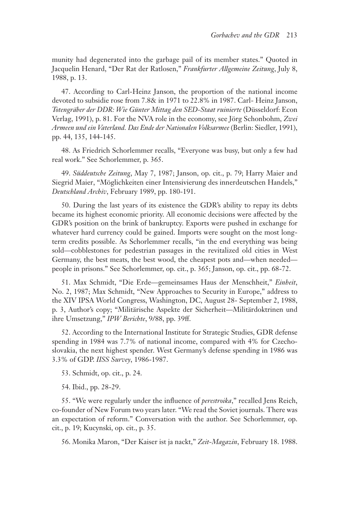munity had degenerated into the garbage pail of its member states." Quoted in Jacquelin Henard, "Der Rat der Ratlosen," *Frankfurter Allgemeine Zeitung*, July 8, 1988, p. 13.

47. According to Carl-Heinz Janson, the proportion of the national income devoted to subsidie rose from 7.8& in 1971 to 22.8% in 1987. Carl- Heinz Janson, *Totengräber der DDR: Wie Günter Mittag den SED-Staat ruinierte* (Düsseldorf: Econ Verlag, 1991), p. 81. For the NVA role in the economy, see Jörg Schonbohm, *Zwei Armeen und ein Vaterland. Das Ende der Nationalen Volksarmee* (Berlin: Siedler, 1991), pp. 44, 135, 144-145.

48. As Friedrich Schorlemmer recalls, "Everyone was busy, but only a few had real work." See Schorlemmer, p. 365.

49. *Süddeutsche Zeitung*, May 7, 1987; Janson, op. cit., p. 79; Harry Maier and Siegrid Maier, "Möglichkeiten einer Intensivierung des innerdeutschen Handels," *Deutschland Archiv*, February 1989, pp. 180-191.

50. During the last years of its existence the GDR's ability to repay its debts became its highest economic priority. All economic decisions were affected by the GDR's position on the brink of bankruptcy. Exports were pushed in exchange for whatever hard currency could be gained. Imports were sought on the most longterm credits possible. As Schorlemmer recalls, "in the end everything was being sold—cobblestones for pedestrian passages in the revitalized old cities in West Germany, the best meats, the best wood, the cheapest pots and—when needed people in prisons." See Schorlemmer, op. cit., p. 365; Janson, op. cit., pp. 68-72.

51. Max Schmidt, "Die Erde—gemeinsames Haus der Menschheit," *Einheit*, No. 2, 1987; Max Schmidt, "New Approaches to Security in Europe," address to the XIV IPSA World Congress, Washington, DC, August 28- September 2, 1988, p. 3, Author's copy; "Militärische Aspekte der Sicherheit—Militärdoktrinen und ihre Umsetzung," *IPW Berichte*, 9/88, pp. 39ff.

52. According to the International Institute for Strategic Studies, GDR defense spending in 1984 was 7.7% of national income, compared with 4% for Czechoslovakia, the next highest spender. West Germany's defense spending in 1986 was 3.3% of GDP. *IISS Survey*, 1986-1987.

53. Schmidt, op. cit., p. 24.

54. Ibid., pp. 28-29.

55. "We were regularly under the influence of *perestroika*," recalled Jens Reich, co-founder of New Forum two years later. "We read the Soviet journals. There was an expectation of reform." Conversation with the author. See Schorlemmer, op. cit., p. 19; Kucynski, op. cit., p. 35.

56. Monika Maron, "Der Kaiser ist ja nackt," *Zeit-Magazin*, February 18. 1988.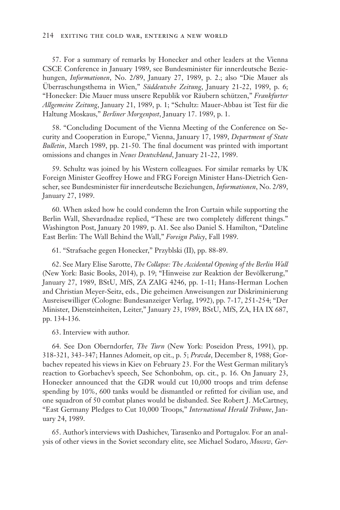57. For a summary of remarks by Honecker and other leaders at the Vienna CSCE Conference in January 1989, see Bundesminister für innerdeutsche Beziehungen, *Informationen*, No. 2/89, January 27, 1989, p. 2.; also "Die Mauer als Überraschungsthema in Wien," *Süddeutsche Zeitung*, January 21-22, 1989, p. 6; "Honecker: Die Mauer muss unsere Republik vor Räubern schützen," *Frankfurter Allgemeine Zeitung*, January 21, 1989, p. 1; "Schultz: Mauer-Abbau ist Test für die Haltung Moskaus," *Berliner Morgenpost*, January 17. 1989, p. 1.

58. "Concluding Document of the Vienna Meeting of the Conference on Security and Cooperation in Europe," Vienna, January 17, 1989, *Department of State Bulletin*, March 1989, pp. 21-50. The final document was printed with important omissions and changes in *Neues Deutschland*, January 21-22, 1989.

59. Schultz was joined by his Western colleagues. For similar remarks by UK Foreign Minister Geoffrey Howe and FRG Foreign Minister Hans-Dietrich Genscher, see Bundesminister für innerdeutsche Beziehungen, *Informationen*, No. 2/89, January 27, 1989.

60. When asked how he could condemn the Iron Curtain while supporting the Berlin Wall, Shevardnadze replied, "These are two completely different things." Washington Post, January 20 1989, p. A1. See also Daniel S. Hamilton, "Dateline East Berlin: The Wall Behind the Wall," *Foreign Policy*, Fall 1989.

61. "Strafsache gegen Honecker," Przyblski (II), pp. 88-89.

62. See Mary Elise Sarotte, *The Collapse: The Accidental Opening of the Berlin Wall* (New York: Basic Books, 2014), p. 19; "Hinweise zur Reaktion der Bevölkerung," January 27, 1989, BStU, MfS, ZA ZAIG 4246, pp. 1-11; Hans-Herman Lochen and Christian Meyer-Seitz, eds., Die geheimen Anweisungen zur Diskriminierung Ausreisewilliger (Cologne: Bundesanzeiger Verlag, 1992), pp. 7-17, 251-254; "Der Minister, Diensteinheiten, Leiter," January 23, 1989, BStU, MfS, ZA, HA IX 687, pp. 134-136.

63. Interview with author.

64. See Don Oberndorfer, *The Turn* (New York: Poseidon Press, 1991), pp. 318-321, 343-347; Hannes Adomeit, op cit., p. 5; *Pravda*, December 8, 1988; Gorbachev repeated his views in Kiev on February 23. For the West German military's reaction to Gorbachev's speech, See Schonbohm, op. cit., p. 16. On January 23, Honecker announced that the GDR would cut 10,000 troops and trim defense spending by 10%, 600 tanks would be dismantled or refitted for civilian use, and one squadron of 50 combat planes would be disbanded. See Robert J. McCartney, "East Germany Pledges to Cut 10,000 Troops," *International Herald Tribune*, January 24, 1989.

65. Author's interviews with Dashichev, Tarasenko and Portugalov. For an analysis of other views in the Soviet secondary elite, see Michael Sodaro, *Moscow, Ger-*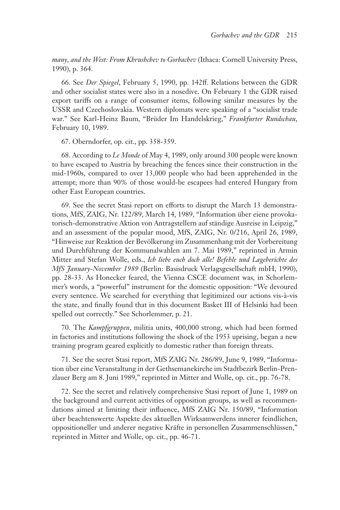*many, and the West: From Khrushchev to Gorbachev* (Ithaca: Cornell University Press, 1990), p. 364.

66. See *Der Spiegel*, February 5, 1990, pp. 142ff. Relations between the GDR and other socialist states were also in a nosedive. On February 1 the GDR raised export tariffs on a range of consumer items, following similar measures by the USSR and Czechoslovakia. Western diplomats were speaking of a "socialist trade war." See Karl-Heinz Baum, "Brüder Im Handelskrieg," *Frankfurter Rundschau*, February 10, 1989.

67. Oberndorfer, op. cit., pp. 358-359.

68. According to *Le Monde* of May 4, 1989, only around 300 people were known to have escaped to Austria by breaching the fences since their construction in the mid-1960s, compared to over 13,000 people who had been apprehended in the attempt; more than 90% of those would-be escapees had entered Hungary from other East European countries.

69. See the secret Stasi report on efforts to disrupt the March 13 demonstrations, MfS, ZAIG, Nr. 122/89, March 14, 1989, "Information über eiene provokatorisch-demonstrative Aktion von Antragstellern auf ständige Ausreise in Leipzig," and an assessment of the popular mood, MfS, ZAIG, Nr. 0/216, April 26, 1989, "Hinweise zur Reaktion der Bevölkerung im Zusammenhang mit der Vorbereitung und Durchführung der Kommunalwahlen am 7. Mai 1989," reprinted in Armin Mitter and Stefan Wolle, eds., *Ich liebe euch doch alle! Befehle und Lageberichte des MfS January-November 1989* (Berlin: Basisdruck Verlagsgesellschaft mbH, 1990), pp. 28-33. As Honecker feared, the Vienna CSCE document was, in Schorlemmer's words, a "powerful" instrument for the domestic opposition: "We devoured every sentence. We searched for everything that legitimized our actions vis-à-vis the state, and finally found that in this document Basket III of Helsinki had been spelled out correctly." See Schorlemmer, p. 21.

70. The *Kampfgruppen*, militia units, 400,000 strong, which had been formed in factories and institutions following the shock of the 1953 uprising, began a new training program geared explicitly to domestic rather than foreign threats.

71. See the secret Stasi report, MfS ZAIG Nr. 286/89, June 9, 1989, "Information über eine Veranstaltung in der Gethsemanekirche im Stadtbezirk Berlin-Prenzlauer Berg am 8. Juni 1989," reprinted in Mitter and Wolle, op. cit., pp. 76-78.

72. See the secret and relatively comprehensive Stasi report of June 1, 1989 on the background and current activities of opposition groups, as well as recommendations aimed at limiting their influence, MfS ZAIG Nr. 150/89, "Information über beachtenswerte Aspekte des aktuellen Wirksamwerdens innerer feindlichen, oppositioneller und anderer negative Kräfte in personellen Zusammenschlüssen," reprinted in Mitter and Wolle, op. cit., pp. 46-71.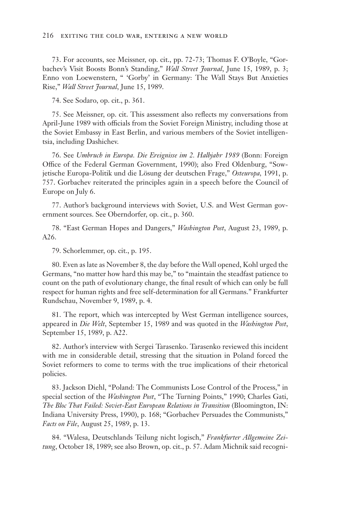73. For accounts, see Meissner, op. cit., pp. 72-73; Thomas F. O'Boyle, "Gorbachev's Visit Boosts Bonn's Standing," *Wall Street Journal*, June 15, 1989, p. 3; Enno von Loewenstern, " 'Gorby' in Germany: The Wall Stays But Anxieties Rise," *Wall Street Journal*, June 15, 1989.

74. See Sodaro, op. cit., p. 361.

75. See Meissner, op. cit. This assessment also reflects my conversations from April-June 1989 with officials from the Soviet Foreign Ministry, including those at the Soviet Embassy in East Berlin, and various members of the Soviet intelligentsia, including Dashichev.

76. See *Umbruch in Europa. Die Ereignisse im 2. Halbjahr 1989* (Bonn: Foreign Office of the Federal German Government, 1990); also Fred Oldenburg, "Sowjetische Europa-Politik und die Lösung der deutschen Frage," *Osteuropa,* 1991, p. 757. Gorbachev reiterated the principles again in a speech before the Council of Europe on July 6.

77. Author's background interviews with Soviet, U.S. and West German government sources. See Oberndorfer, op. cit., p. 360.

78. "East German Hopes and Dangers," *Washington Post*, August 23, 1989, p. A26.

79. Schorlemmer, op. cit., p. 195.

80. Even as late as November 8, the day before the Wall opened, Kohl urged the Germans, "no matter how hard this may be," to "maintain the steadfast patience to count on the path of evolutionary change, the final result of which can only be full respect for human rights and free self-determination for all Germans." Frankfurter Rundschau, November 9, 1989, p. 4.

81. The report, which was intercepted by West German intelligence sources, appeared in *Die Welt*, September 15, 1989 and was quoted in the *Washington Post*, September 15, 1989, p. A22.

82. Author's interview with Sergei Tarasenko. Tarasenko reviewed this incident with me in considerable detail, stressing that the situation in Poland forced the Soviet reformers to come to terms with the true implications of their rhetorical policies.

83. Jackson Diehl, "Poland: The Communists Lose Control of the Process," in special section of the *Washington Post*, "The Turning Points," 1990; Charles Gati, *The Bloc That Failed: Soviet-East European Relations in Transition* (Bloomington, IN: Indiana University Press, 1990), p. 168; "Gorbachev Persuades the Communists," *Facts on File*, August 25, 1989, p. 13.

84. "Walesa, Deutschlands Teilung nicht logisch," *Frankfurter Allgemeine Zeitung*, October 18, 1989; see also Brown, op. cit., p. 57. Adam Michnik said recogni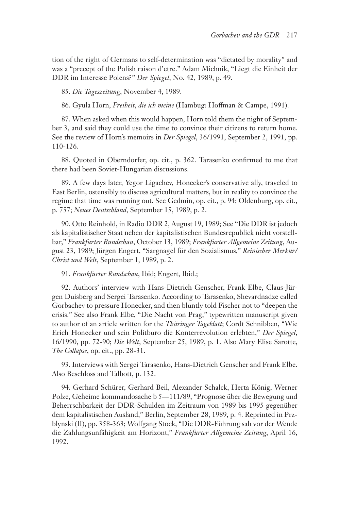tion of the right of Germans to self-determination was "dictated by morality" and was a "precept of the Polish raison d'etre." Adam Michnik, "Liegt die Einheit der DDR im Interesse Polens?" *Der Spiegel*, No. 42, 1989, p. 49.

85. *Die Tageszeitung*, November 4, 1989.

86. Gyula Horn, *Freiheit, die ich meine* (Hambug: Hoffman & Campe, 1991).

87. When asked when this would happen, Horn told them the night of September 3, and said they could use the time to convince their citizens to return home. See the review of Horn's memoirs in *Der Spiegel*, 36/1991, September 2, 1991, pp. 110-126.

88. Quoted in Oberndorfer, op. cit., p. 362. Tarasenko confirmed to me that there had been Soviet-Hungarian discussions.

89. A few days later, Yegor Ligachev, Honecker's conservative ally, traveled to East Berlin, ostensibly to discuss agricultural matters, but in reality to convince the regime that time was running out. See Gedmin, op. cit., p. 94; Oldenburg, op. cit., p. 757; *Neues Deutschland*, September 15, 1989, p. 2.

90. Otto Reinhold, in Radio DDR 2, August 19, 1989; See "Die DDR ist jedoch als kapitalistischer Staat neben der kapitalistischen Bundesrepublick nicht vorstellbar," *Frankfurter Rundschau*, October 13, 1989; *Frankfurter Allgemeine Zeitung*, August 23, 1989; Jürgen Engert, "Sargnagel für den Sozialismus," *Reinischer Merkur/ Christ und Welt*, September 1, 1989, p. 2.

91. *Frankfurter Rundschau*, Ibid; Engert, Ibid.;

92. Authors' interview with Hans-Dietrich Genscher, Frank Elbe, Claus-Jürgen Duisberg and Sergei Tarasenko. According to Tarasenko, Shevardnadze called Gorbachev to pressure Honecker, and then bluntly told Fischer not to "deepen the crisis." See also Frank Elbe, "Die Nacht von Prag," typewritten manuscript given to author of an article written for the *Thüringer Tageblatt*; Cordt Schnibben, "Wie Erich Honecker und sein Politburo die Konterrevolution erlebten," *Der Spiegel*, 16/1990, pp. 72-90; *Die Welt*, September 25, 1989, p. 1. Also Mary Elise Sarotte, *The Collapse*, op. cit., pp. 28-31.

93. Interviews with Sergei Tarasenko, Hans-Dietrich Genscher and Frank Elbe. Also Beschloss and Talbott, p. 132.

94. Gerhard Schürer, Gerhard Beil, Alexander Schalck, Herta König, Werner Polze, Geheime kommandosache b 5—111/89, "Prognose über die Bewegung und Beherrschbarkeit der DDR-Schulden im Zeitraum von 1989 bis 1995 gegenüber dem kapitalistischen Ausland," Berlin, September 28, 1989, p. 4. Reprinted in Przblynski (II), pp. 358-363; Wolfgang Stock, "Die DDR-Führung sah vor der Wende die Zahlungsunfähigkeit am Horizont," *Frankfurter Allgemeine Zeitung*, April 16, 1992.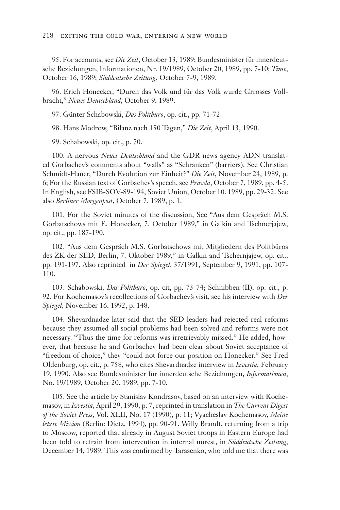95. For accounts, see *Die Zeit*, October 13, 1989; Bundesminister für innerdeutsche Beziehungen, Informationen, Nr. 19/1989, October 20, 1989, pp. 7-10; *Time*, October 16, 1989; *Süddeutsche Zeitung*, October 7-9, 1989.

96. Erich Honecker, "Durch das Volk und für das Volk wurde Grrosses Vollbracht," *Neues Deutschland*, October 9, 1989.

97. Günter Schabowski, *Das Politburo*, op. cit., pp. 71-72.

98. Hans Modrow, "Bilanz nach 150 Tagen," *Die Zeit*, April 13, 1990.

99. Schabowski, op. cit., p. 70.

100. A nervous *Neues Deutschland* and the GDR news agency ADN translated Gorbachev's comments about "walls" as "Schranken" (barriers). See Christian Schmidt-Hauer, "Durch Evolution zur Einheit?" *Die Zeit*, November 24, 1989, p. 6; For the Russian text of Gorbachev's speech, see *Pravda*, October 7, 1989, pp. 4-5. In English, see FSIB-SOV-89-194, Soviet Union, October 10. 1989, pp. 29-32. See also *Berliner Morgenpost*, October 7, 1989, p. 1.

101. For the Soviet minutes of the discussion, See "Aus dem Gespräch M.S. Gorbatschows mit E. Honecker, 7. October 1989," in Galkin and Tschnerjajew, op. cit., pp. 187-190.

102. "Aus dem Gespräch M.S. Gorbatschows mit Mitgliedern des Politbüros des ZK der SED, Berlin, 7. Oktober 1989," in Galkin and Tschernjajew, op. cit., pp. 191-197. Also reprinted in *Der Spiegel*, 37/1991, September 9, 1991, pp. 107- 110.

103. Schabowski, *Das Politburo*, op. cit, pp. 73-74; Schnibben (II), op. cit., p. 92. For Kochemasov's recollections of Gorbachev's visit, see his interview with *Der Spiegel*, November 16, 1992, p. 148.

104. Shevardnadze later said that the SED leaders had rejected real reforms because they assumed all social problems had been solved and reforms were not necessary. "Thus the time for reforms was irretrievably missed." He added, however, that because he and Gorbachev had been clear about Soviet acceptance of "freedom of choice," they "could not force our position on Honecker." See Fred Oldenburg, op. cit., p. 758, who cites Shevardnadze interview in *Izvestia,* February 19, 1990. Also see Bundesminister für innerdeutsche Beziehungen, *Informationen*, No. 19/1989, October 20. 1989, pp. 7-10.

105. See the article by Stanislav Kondrasov, based on an interview with Kochemasov, in *Izvestia*, April 29, 1990, p. 7, reprinted in translation in *The Current Digest of the Soviet Press*, Vol. XLII, No. 17 (1990), p. 11; Vyacheslav Kochemasov, *Meine letzte Mission* (Berlin: Dietz, 1994), pp. 90-91. Willy Brandt, returning from a trip to Moscow, reported that already in August Soviet troops in Eastern Europe had been told to refrain from intervention in internal unrest, in *Süddeutsche Zeitung*, December 14, 1989. This was confirmed by Tarasenko, who told me that there was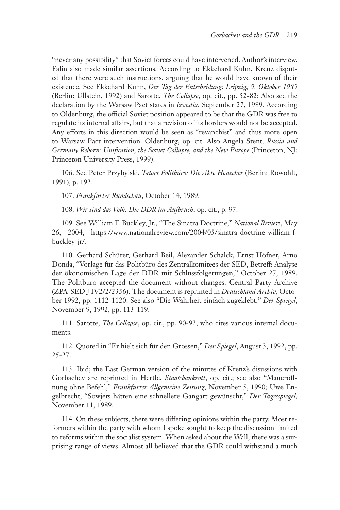"never any possibility" that Soviet forces could have intervened. Author's interview. Falin also made similar assertions. According to Ekkehard Kuhn, Krenz disputed that there were such instructions, arguing that he would have known of their existence. See Ekkehard Kuhn, *Der Tag der Entscheidung: Leipzig, 9. Oktober 1989*  (Berlin: Ullstein, 1992) and Sarotte, *The Collapse*, op. cit., pp. 52-82; Also see the declaration by the Warsaw Pact states in *Izvestia*, September 27, 1989. According to Oldenburg, the official Soviet position appeared to be that the GDR was free to regulate its internal affairs, but that a revision of its borders would not be accepted. Any efforts in this direction would be seen as "revanchist" and thus more open to Warsaw Pact intervention. Oldenburg, op. cit. Also Angela Stent, *Russia and Germany Reborn: Unification, the Soviet Collapse, and the New Europe* (Princeton, NJ: Princeton University Press, 1999).

106. See Peter Przybylski, *Tatort Politbüro: Die Akte Honecker* (Berlin: Rowohlt, 1991), p. 192.

107. *Frankfurter Rundschau*, October 14, 1989.

108. *Wir sind das Volk. Die DDR im Aufbruch*, op. cit., p. 97.

109. See William F. Buckley, Jr., "The Sinatra Doctrine," *National Review*, May 26, 2004, https://www.nationalreview.com/2004/05/sinatra-doctrine-william-fbuckley-jr/.

110. Gerhard Schürer, Gerhard Beil, Alexander Schalck, Ernst Höfner, Arno Donda, "Vorlage für das Politbüro des Zentralkomitees der SED, Betreff: Analyse der ökonomischen Lage der DDR mit Schlussfolgerungen," October 27, 1989. The Politburo accepted the document without changes. Central Party Archive (ZPA-SED J IV2/2/2356). The document is reprinted in *Deutschland Archiv*, October 1992, pp. 1112-1120. See also "Die Wahrheit einfach zugeklebt," *Der Spiegel*, November 9, 1992, pp. 113-119.

111. Sarotte, *The Collapse*, op. cit., pp. 90-92, who cites various internal documents.

112. Quoted in "Er hielt sich für den Grossen," *Der Spiegel*, August 3, 1992, pp. 25-27.

113. Ibid; the East German version of the minutes of Krenz's disussions with Gorbachev are reprinted in Hertle, *Staatsbankrott*, op. cit.; see also "Maueröffnung ohne Befehl," *Frankfurter Allgemeine Zeitung*, November 5, 1990; Uwe Engelbrecht, "Sowjets hätten eine schnellere Gangart gewünscht," *Der Tagesspiegel*, November 11, 1989.

114. On these subjects, there were differing opinions within the party. Most reformers within the party with whom I spoke sought to keep the discussion limited to reforms within the socialist system. When asked about the Wall, there was a surprising range of views. Almost all believed that the GDR could withstand a much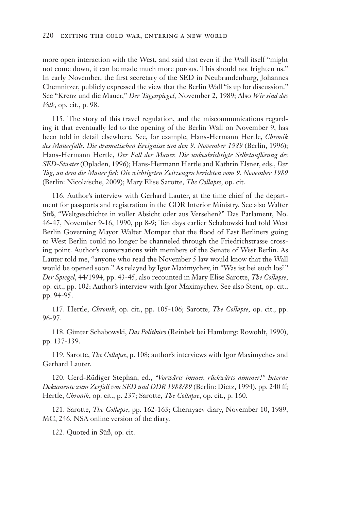more open interaction with the West, and said that even if the Wall itself "might not come down, it can be made much more porous. This should not frighten us." In early November, the first secretary of the SED in Neubrandenburg, Johannes Chemnitzer, publicly expressed the view that the Berlin Wall "is up for discussion." See "Krenz und die Mauer," *Der Tagesspiegel*, November 2, 1989; Also *Wir sind das Volk*, op. cit., p. 98.

115. The story of this travel regulation, and the miscommunications regarding it that eventually led to the opening of the Berlin Wall on November 9, has been told in detail elsewhere. See, for example, Hans-Hermann Hertle, *Chronik des Mauerfalls. Die dramatischen Ereignisse um den 9. November 1989* (Berlin, 1996); Hans-Hermann Hertle, *Der Fall der Mauer. Die unbeabsichtigte Selbstauflösung des SED-Staates* (Opladen, 1996); Hans-Hermann Hertle and Kathrin Elsner, eds., *Der Tag, an dem die Mauer fiel: Die wichtigsten Zeitzeugen berichten vom 9. November 1989* (Berlin: Nicolaische, 2009); Mary Elise Sarotte, *The Collapse*, op. cit.

116. Author's interview with Gerhard Lauter, at the time chief of the department for passports and registration in the GDR Interior Ministry. See also Walter Süß, "Weltgeschichte in voller Absicht oder aus Versehen?" Das Parlament, No. 46-47, November 9-16, 1990, pp 8-9; Ten days earlier Schabowski had told West Berlin Governing Mayor Walter Momper that the flood of East Berliners going to West Berlin could no longer be channeled through the Friedrichstrasse crossing point. Author's conversations with members of the Senate of West Berlin. As Lauter told me, "anyone who read the November 5 law would know that the Wall would be opened soon." As relayed by Igor Maximychev, in "Was ist bei euch los?" *Der Spiegel*, 44/1994, pp. 43-45; also recounted in Mary Elise Sarotte, *The Collapse*, op. cit., pp. 102; Author's interview with Igor Maximychev. See also Stent, op. cit., pp. 94-95.

117. Hertle, *Chronik*, op. cit., pp. 105-106; Sarotte, *The Collapse*, op. cit., pp. 96-97.

118. Günter Schabowski, *Das Politbüro* (Reinbek bei Hamburg: Rowohlt, 1990), pp. 137-139.

119. Sarotte, *The Collapse*, p. 108; author's interviews with Igor Maximychev and Gerhard Lauter.

120. Gerd-Rüdiger Stephan, ed., *"Vorwärts immer, rückwärts nimmer!" Interne Dokumente zum Zerfall von SED und DDR 1988/89* (Berlin: Dietz, 1994), pp. 240 ff; Hertle, *Chronik*, op. cit., p. 237; Sarotte, *The Collapse*, op. cit., p. 160.

121. Sarotte, *The Collapse*, pp. 162-163; Chernyaev diary, November 10, 1989, MG, 246. NSA online version of the diary.

122. Quoted in Süß, op. cit.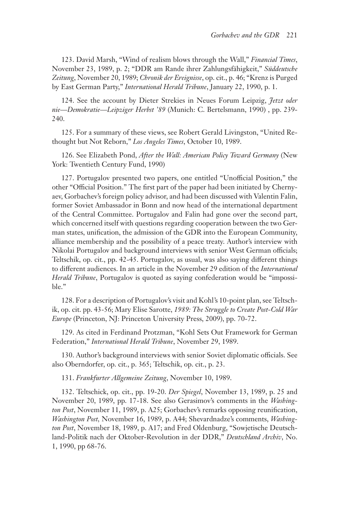123. David Marsh, "Wind of realism blows through the Wall," *Financial Times*, November 23, 1989, p. 2; "DDR am Rande ihrer Zahlungsfähigkeit," *Süddeutsche Zeitung*, November 20, 1989; *Chronik der Ereignisse*, op. cit., p. 46; "Krenz is Purged by East German Party," *International Herald Tribune*, January 22, 1990, p. 1.

124. See the account by Dieter Strekies in Neues Forum Leipzig, *Jetzt oder nie—Demokratie—Leipziger Herbst '89* (Munich: C. Bertelsmann, 1990) , pp. 239- 240.

125. For a summary of these views, see Robert Gerald Livingston, "United Rethought but Not Reborn," *Los Angeles Times*, October 10, 1989.

126. See Elizabeth Pond, *After the Wall: American Policy Toward Germany* (New York: Twentieth Century Fund, 1990)

127. Portugalov presented two papers, one entitled "Unofficial Position," the other "Official Position." The first part of the paper had been initiated by Chernyaev, Gorbachev's foreign policy advisor, and had been discussed with Valentin Falin, former Soviet Ambassador in Bonn and now head of the international department of the Central Committee. Portugalov and Falin had gone over the second part, which concerned itself with questions regarding cooperation between the two German states, unification, the admission of the GDR into the European Community, alliance membership and the possibility of a peace treaty. Author's interview with Nikolai Portugalov and background interviews with senior West German officials; Teltschik, op. cit., pp. 42-45. Portugalov, as usual, was also saying different things to different audiences. In an article in the November 29 edition of the *International Herald Tribune*, Portugalov is quoted as saying confederation would be "impossible."

128. For a description of Portugalov's visit and Kohl's 10-point plan, see Teltschik, op. cit. pp. 43-56; Mary Elise Sarotte, *1989: The Struggle to Create Post-Cold War Europe* (Princeton, NJ: Princeton University Press, 2009), pp. 70-72.

129. As cited in Ferdinand Protzman, "Kohl Sets Out Framework for German Federation," *International Herald Tribune*, November 29, 1989.

130. Author's background interviews with senior Soviet diplomatic officials. See also Oberndorfer, op. cit., p. 365; Teltschik, op. cit., p. 23.

131. *Frankfurter Allgemeine Zeitung*, November 10, 1989.

132. Teltschick, op. cit., pp. 19-20. *Der Spiegel*, November 13, 1989, p. 25 and November 20, 1989, pp. 17-18. See also Gerasimov's comments in the *Washington Post*, November 11, 1989, p. A25; Gorbachev's remarks opposing reunification, *Washington Post,* November 16, 1989, p. A44; Shevardnadze's comments, *Washington Post*, November 18, 1989, p. A17; and Fred Oldenburg, "Sowjetische Deutschland-Politik nach der Oktober-Revolution in der DDR," *Deutschland Archiv*, No. 1, 1990, pp 68-76.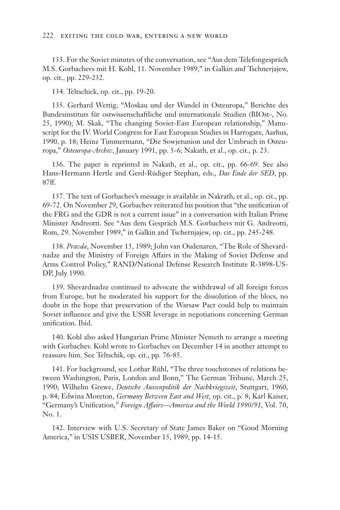133. For the Soviet minutes of the conversation, see "Aus dem Telefongespräch M.S. Gorbachevs mit H. Kohl, 11. November 1989," in Galkin and Tschnerjajew, op. cit., pp. 229-232.

134. Teltschick, op. cit., pp. 19-20.

135. Gerhard Wettig, "Moskau und der Wandel in Osteuropa," Berichte des Bundesinstituts für ostwissenschaftliche und internationale Studien (BIOst-, No. 25, 1990); M. Skak, "The changing Soviet-East European relationship," Manuscript for the IV. World Congress for East European Studies in Harrogate, Aarhus, 1990, p. 18; Heinz Timmermann, "Die Sowjetunion und der Umbruch in Osteuropa," *Osteuropa-Archiv*, January 1991, pp. 5-6; Nakath, et al., op. cit., p. 23.

136. The paper is reprinted in Nakath, et al., op. cit., pp. 66-69. See also Hans-Hermann Hertle and Gerd-Rüdiger Stephan, eds., *Das Ende der SED*, pp. 87ff.

137. The text of Gorbachev's message is available in Nakrath, et al., op. cit., pp. 69-72. On November 29, Gorbachev reiterated his position that "the unification of the FRG and the GDR is not a current issue" in a conversation with Italian Prime Minister Andreotti. See "Aus dem Gespräch M.S. Gorbachevs mit G. Andreotti, Rom, 29. November 1989," in Galkin and Tschernjajew, op. cit., pp. 245-248.

138. *Pravda*, November 15, 1989; John van Oudenaren, "The Role of Shevardnadze and the Ministry of Foreign Affairs in the Making of Soviet Defense and Arms Control Policy," RAND/National Defense Research Institute R-3898-US-DP, July 1990.

139. Shevardnadze continued to advocate the withdrawal of all foreign forces from Europe, but he moderated his support for the dissolution of the blocs, no doubt in the hope that preservation of the Warsaw Pact could help to maintain Soviet influence and give the USSR leverage in negotiations concerning German unification. Ibid.

140. Kohl also asked Hungarian Prime Minister Nemeth to arrange a meeting with Gorbachev. Kohl wrote to Gorbachev on December 14 in another attempt to reassure him. See Teltschik, op. cit., pp. 76-85.

141. For background, see Lothar Rühl, "The three touchstones of relations between Washington, Paris, London and Bonn," The German Tribune, March 25, 1990; Wilhelm Grewe, *Deutsche Aussenpolitik der Nachkriegszeit*, Stuttgart, 1960, p. 84; Edwina Moreton, *Germany Between East and West*, op. cit., p. 8; Karl Kaiser, "Germany's Unification," *Foreign Affairs—America and the World 1990/91*, Vol. 70, No. 1.

142. Interview with U.S. Secretary of State James Baker on "Good Morning America," in USIS USBER, November 15, 1989, pp. 14-15.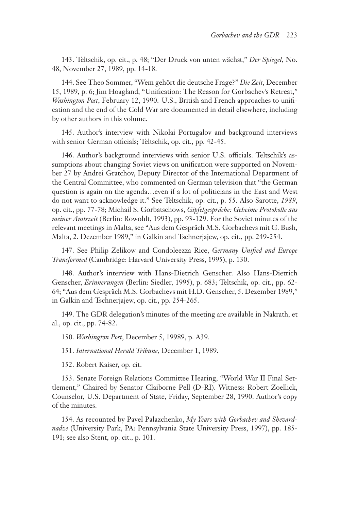143. Teltschik, op. cit., p. 48; "Der Druck von unten wächst," *Der Spiegel*, No. 48, November 27, 1989, pp. 14-18.

144. See Theo Sommer, "Wem gehört die deutsche Frage?" *Die Zeit*, December 15, 1989, p. 6; Jim Hoagland, "Unification: The Reason for Gorbachev's Retreat," *Washington Post*, February 12, 1990. U.S., British and French approaches to unification and the end of the Cold War are documented in detail elsewhere, including by other authors in this volume.

145. Author's interview with Nikolai Portugalov and background interviews with senior German officials; Teltschik, op. cit., pp. 42-45.

146. Author's background interviews with senior U.S. officials. Teltschik's assumptions about changing Soviet views on unification were supported on November 27 by Andrei Gratchov, Deputy Director of the International Department of the Central Committee, who commented on German television that "the German question is again on the agenda…even if a lot of politicians in the East and West do not want to acknowledge it." See Teltschik, op. cit., p. 55. Also Sarotte, *1989*, op. cit., pp. 77-78; Michail S. Gorbatschows, *Gipfelgespräche: Geheime Protokolle aus meiner Amtszeit* (Berlin: Rowohlt, 1993), pp. 93-129. For the Soviet minutes of the relevant meetings in Malta, see "Aus dem Gespräch M.S. Gorbachevs mit G. Bush, Malta, 2. Dezember 1989," in Galkin and Tschnerjajew, op. cit., pp. 249-254.

147. See Philip Zelikow and Condoleezza Rice, *Germany Unified and Europe Transformed* (Cambridge: Harvard University Press, 1995), p. 130.

148. Author's interview with Hans-Dietrich Genscher. Also Hans-Dietrich Genscher, *Erinnerungen* (Berlin: Siedler, 1995), p. 683; Teltschik, op. cit., pp. 62- 64; "Aus dem Gespräch M.S. Gorbachevs mit H.D. Genscher, 5. Dezember 1989," in Galkin and Tschnerjajew, op. cit., pp. 254-265.

149. The GDR delegation's minutes of the meeting are available in Nakrath, et al., op. cit., pp. 74-82.

150. *Washington Post*, December 5, 19989, p. A39.

151. *International Herald Tribune*, December 1, 1989.

152. Robert Kaiser, op. cit.

153. Senate Foreign Relations Committee Hearing, "World War II Final Settlement," Chaired by Senator Claiborne Pell (D-RI). Witness: Robert Zoellick, Counselor, U.S. Department of State, Friday, September 28, 1990. Author's copy of the minutes.

154. As recounted by Pavel Palazchenko, *My Years with Gorbachev and Shevardnadze* (University Park, PA: Pennsylvania State University Press, 1997), pp. 185- 191; see also Stent, op. cit., p. 101.